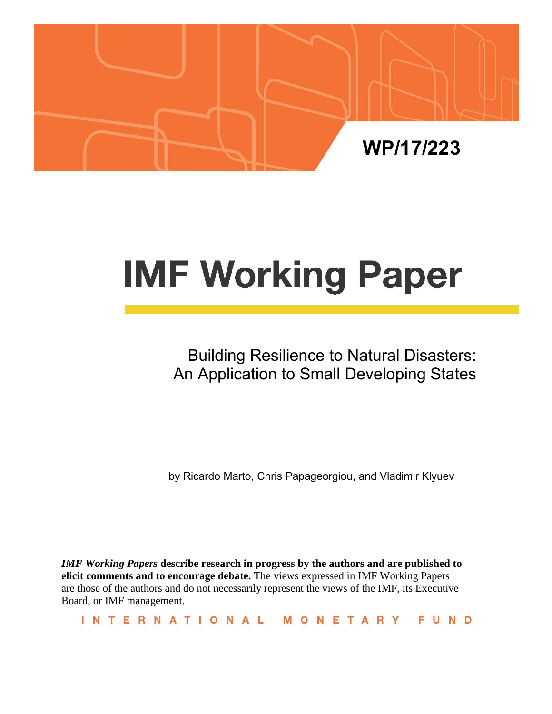

# **IMF Working Paper**

Building Resilience to Natural Disasters: An Application to Small Developing States

by Ricardo Marto, Chris Papageorgiou, and Vladimir Klyuev

*IMF Working Papers* **describe research in progress by the authors and are published to elicit comments and to encourage debate.** The views expressed in IMF Working Papers are those of the authors and do not necessarily represent the views of the IMF, its Executive Board, or IMF management.

INTERNATIONAL MONETARY FUND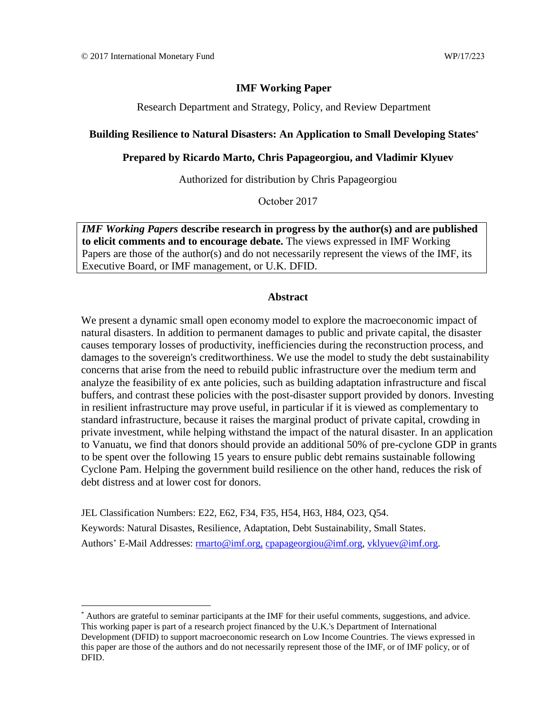## **IMF Working Paper**

Research Department and Strategy, Policy, and Review Department

# **Building Resilience to Natural Disasters: An Application to Small Developing States\***

## **Prepared by Ricardo Marto, Chris Papageorgiou, and Vladimir Klyuev**

Authorized for distribution by Chris Papageorgiou

October 2017

*IMF Working Papers* **describe research in progress by the author(s) and are published to elicit comments and to encourage debate.** The views expressed in IMF Working Papers are those of the author(s) and do not necessarily represent the views of the IMF, its Executive Board, or IMF management, or U.K. DFID.

### **Abstract**

We present a dynamic small open economy model to explore the macroeconomic impact of natural disasters. In addition to permanent damages to public and private capital, the disaster causes temporary losses of productivity, inefficiencies during the reconstruction process, and damages to the sovereign's creditworthiness. We use the model to study the debt sustainability concerns that arise from the need to rebuild public infrastructure over the medium term and analyze the feasibility of ex ante policies, such as building adaptation infrastructure and fiscal buffers, and contrast these policies with the post-disaster support provided by donors. Investing in resilient infrastructure may prove useful, in particular if it is viewed as complementary to standard infrastructure, because it raises the marginal product of private capital, crowding in private investment, while helping withstand the impact of the natural disaster. In an application to Vanuatu, we find that donors should provide an additional 50% of pre-cyclone GDP in grants to be spent over the following 15 years to ensure public debt remains sustainable following Cyclone Pam. Helping the government build resilience on the other hand, reduces the risk of debt distress and at lower cost for donors.

JEL Classification Numbers: E22, E62, F34, F35, H54, H63, H84, O23, Q54. Keywords: Natural Disastes, Resilience, Adaptation, Debt Sustainability, Small States. Authors' E-Mail Addresses: [rmarto@imf.org,](mailto:rmarto@imf.org) [cpapageorgiou@imf.org,](mailto:cpapageorgiou@imf.org) [vklyuev@imf.org.](mailto:vklyuev@imf.org)

<sup>\*</sup> Authors are grateful to seminar participants at the IMF for their useful comments, suggestions, and advice. This working paper is part of a research project financed by the U.K.'s Department of International Development (DFID) to support macroeconomic research on Low Income Countries. The views expressed in this paper are those of the authors and do not necessarily represent those of the IMF, or of IMF policy, or of DFID.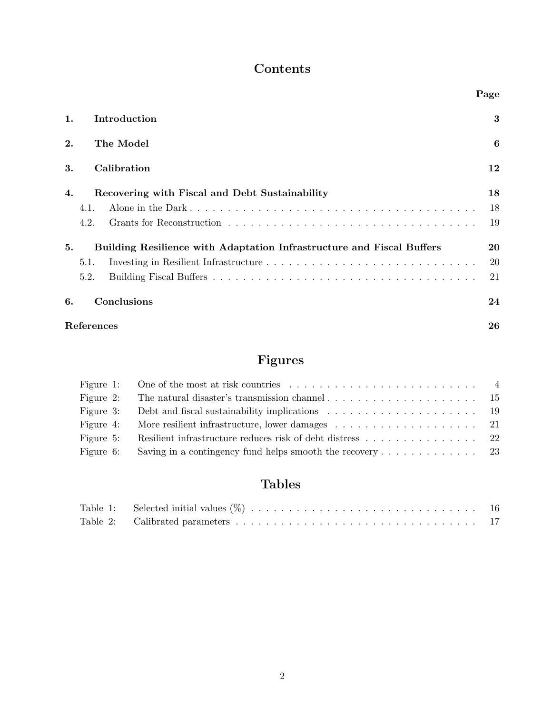# Contents

|    |                                                                       | Page |
|----|-----------------------------------------------------------------------|------|
| 1. | Introduction                                                          | 3    |
| 2. | The Model                                                             | 6    |
| 3. | Calibration                                                           | 12   |
| 4. | Recovering with Fiscal and Debt Sustainability                        | 18   |
|    | 4.1.                                                                  | 18   |
|    | 4.2.                                                                  | 19   |
| 5. | Building Resilience with Adaptation Infrastructure and Fiscal Buffers | 20   |
|    | 5.1.                                                                  | 20   |
|    | 5.2.                                                                  | 21   |
| 6. | Conclusions                                                           | 24   |
|    | References                                                            | 26   |

# Figures

|           | Figure 1: One of the most at risk countries $\dots \dots \dots \dots \dots \dots \dots \dots \dots$        |  |
|-----------|------------------------------------------------------------------------------------------------------------|--|
|           | Figure 2: The natural disaster's transmission channel $\dots \dots \dots \dots \dots \dots \dots \dots$ 15 |  |
|           |                                                                                                            |  |
|           | Figure 4: More resilient infrastructure, lower damages 21                                                  |  |
| Figure 5: | Resilient infrastructure reduces risk of debt distress 22                                                  |  |
|           | Figure 6: Saving in a contingency fund helps smooth the recovery 23                                        |  |

# Tables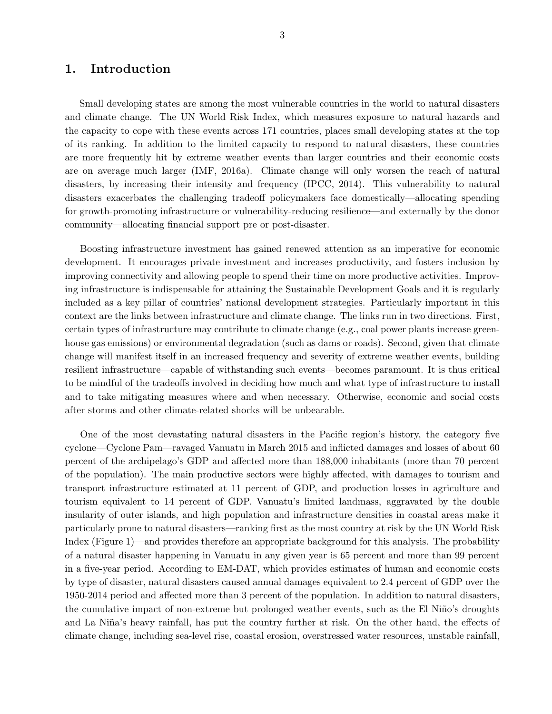## 1. Introduction

Small developing states are among the most vulnerable countries in the world to natural disasters and climate change. The UN World Risk Index, which measures exposure to natural hazards and the capacity to cope with these events across 171 countries, places small developing states at the top of its ranking. In addition to the limited capacity to respond to natural disasters, these countries are more frequently hit by extreme weather events than larger countries and their economic costs are on average much larger (IMF, 2016a). Climate change will only worsen the reach of natural disasters, by increasing their intensity and frequency (IPCC, 2014). This vulnerability to natural disasters exacerbates the challenging tradeoff policymakers face domestically—allocating spending for growth-promoting infrastructure or vulnerability-reducing resilience—and externally by the donor community—allocating financial support pre or post-disaster.

Boosting infrastructure investment has gained renewed attention as an imperative for economic development. It encourages private investment and increases productivity, and fosters inclusion by improving connectivity and allowing people to spend their time on more productive activities. Improving infrastructure is indispensable for attaining the Sustainable Development Goals and it is regularly included as a key pillar of countries' national development strategies. Particularly important in this context are the links between infrastructure and climate change. The links run in two directions. First, certain types of infrastructure may contribute to climate change (e.g., coal power plants increase greenhouse gas emissions) or environmental degradation (such as dams or roads). Second, given that climate change will manifest itself in an increased frequency and severity of extreme weather events, building resilient infrastructure—capable of withstanding such events—becomes paramount. It is thus critical to be mindful of the tradeoffs involved in deciding how much and what type of infrastructure to install and to take mitigating measures where and when necessary. Otherwise, economic and social costs after storms and other climate-related shocks will be unbearable.

One of the most devastating natural disasters in the Pacific region's history, the category five cyclone—Cyclone Pam—ravaged Vanuatu in March 2015 and inflicted damages and losses of about 60 percent of the archipelago's GDP and affected more than 188,000 inhabitants (more than 70 percent of the population). The main productive sectors were highly affected, with damages to tourism and transport infrastructure estimated at 11 percent of GDP, and production losses in agriculture and tourism equivalent to 14 percent of GDP. Vanuatu's limited landmass, aggravated by the double insularity of outer islands, and high population and infrastructure densities in coastal areas make it particularly prone to natural disasters—ranking first as the most country at risk by the UN World Risk Index (Figure 1)—and provides therefore an appropriate background for this analysis. The probability of a natural disaster happening in Vanuatu in any given year is 65 percent and more than 99 percent in a five-year period. According to EM-DAT, which provides estimates of human and economic costs by type of disaster, natural disasters caused annual damages equivalent to 2.4 percent of GDP over the 1950-2014 period and affected more than 3 percent of the population. In addition to natural disasters, the cumulative impact of non-extreme but prolonged weather events, such as the El Niño's droughts and La Niña's heavy rainfall, has put the country further at risk. On the other hand, the effects of climate change, including sea-level rise, coastal erosion, overstressed water resources, unstable rainfall,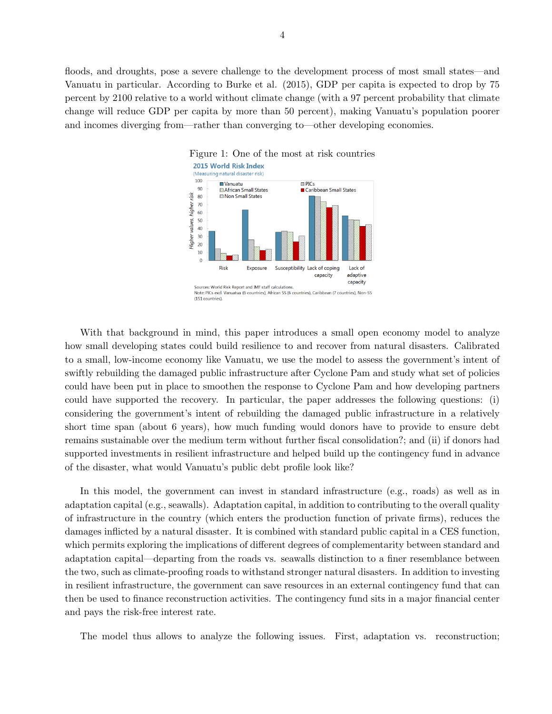floods, and droughts, pose a severe challenge to the development process of most small states—and Vanuatu in particular. According to Burke et al. (2015), GDP per capita is expected to drop by 75 percent by 2100 relative to a world without climate change (with a 97 percent probability that climate change will reduce GDP per capita by more than 50 percent), making Vanuatu's population poorer and incomes diverging from—rather than converging to—other developing economies.



With that background in mind, this paper introduces a small open economy model to analyze how small developing states could build resilience to and recover from natural disasters. Calibrated to a small, low-income economy like Vanuatu, we use the model to assess the government's intent of swiftly rebuilding the damaged public infrastructure after Cyclone Pam and study what set of policies could have been put in place to smoothen the response to Cyclone Pam and how developing partners could have supported the recovery. In particular, the paper addresses the following questions: (i) considering the government's intent of rebuilding the damaged public infrastructure in a relatively short time span (about 6 years), how much funding would donors have to provide to ensure debt remains sustainable over the medium term without further fiscal consolidation?; and (ii) if donors had supported investments in resilient infrastructure and helped build up the contingency fund in advance of the disaster, what would Vanuatu's public debt profile look like?

In this model, the government can invest in standard infrastructure (e.g., roads) as well as in adaptation capital (e.g., seawalls). Adaptation capital, in addition to contributing to the overall quality of infrastructure in the country (which enters the production function of private firms), reduces the damages inflicted by a natural disaster. It is combined with standard public capital in a CES function, which permits exploring the implications of different degrees of complementarity between standard and adaptation capital—departing from the roads vs. seawalls distinction to a finer resemblance between the two, such as climate-proofing roads to withstand stronger natural disasters. In addition to investing in resilient infrastructure, the government can save resources in an external contingency fund that can then be used to finance reconstruction activities. The contingency fund sits in a major financial center and pays the risk-free interest rate.

The model thus allows to analyze the following issues. First, adaptation vs. reconstruction;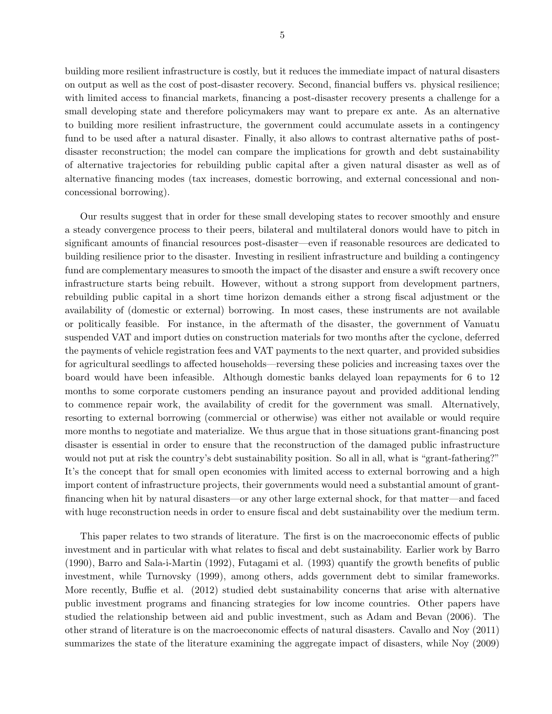building more resilient infrastructure is costly, but it reduces the immediate impact of natural disasters on output as well as the cost of post-disaster recovery. Second, financial buffers vs. physical resilience; with limited access to financial markets, financing a post-disaster recovery presents a challenge for a small developing state and therefore policymakers may want to prepare ex ante. As an alternative to building more resilient infrastructure, the government could accumulate assets in a contingency fund to be used after a natural disaster. Finally, it also allows to contrast alternative paths of postdisaster reconstruction; the model can compare the implications for growth and debt sustainability of alternative trajectories for rebuilding public capital after a given natural disaster as well as of alternative financing modes (tax increases, domestic borrowing, and external concessional and nonconcessional borrowing).

Our results suggest that in order for these small developing states to recover smoothly and ensure a steady convergence process to their peers, bilateral and multilateral donors would have to pitch in significant amounts of financial resources post-disaster—even if reasonable resources are dedicated to building resilience prior to the disaster. Investing in resilient infrastructure and building a contingency fund are complementary measures to smooth the impact of the disaster and ensure a swift recovery once infrastructure starts being rebuilt. However, without a strong support from development partners, rebuilding public capital in a short time horizon demands either a strong fiscal adjustment or the availability of (domestic or external) borrowing. In most cases, these instruments are not available or politically feasible. For instance, in the aftermath of the disaster, the government of Vanuatu suspended VAT and import duties on construction materials for two months after the cyclone, deferred the payments of vehicle registration fees and VAT payments to the next quarter, and provided subsidies for agricultural seedlings to affected households—reversing these policies and increasing taxes over the board would have been infeasible. Although domestic banks delayed loan repayments for 6 to 12 months to some corporate customers pending an insurance payout and provided additional lending to commence repair work, the availability of credit for the government was small. Alternatively, resorting to external borrowing (commercial or otherwise) was either not available or would require more months to negotiate and materialize. We thus argue that in those situations grant-financing post disaster is essential in order to ensure that the reconstruction of the damaged public infrastructure would not put at risk the country's debt sustainability position. So all in all, what is "grant-fathering?" It's the concept that for small open economies with limited access to external borrowing and a high import content of infrastructure projects, their governments would need a substantial amount of grantfinancing when hit by natural disasters—or any other large external shock, for that matter—and faced with huge reconstruction needs in order to ensure fiscal and debt sustainability over the medium term.

This paper relates to two strands of literature. The first is on the macroeconomic effects of public investment and in particular with what relates to fiscal and debt sustainability. Earlier work by Barro (1990), Barro and Sala-i-Martin (1992), Futagami et al. (1993) quantify the growth benefits of public investment, while Turnovsky (1999), among others, adds government debt to similar frameworks. More recently, Buffie et al. (2012) studied debt sustainability concerns that arise with alternative public investment programs and financing strategies for low income countries. Other papers have studied the relationship between aid and public investment, such as Adam and Bevan (2006). The other strand of literature is on the macroeconomic effects of natural disasters. Cavallo and Noy (2011) summarizes the state of the literature examining the aggregate impact of disasters, while Noy (2009)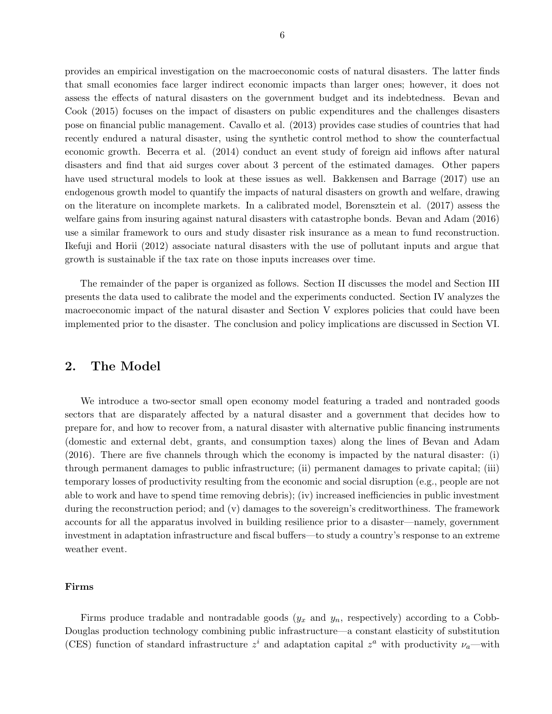provides an empirical investigation on the macroeconomic costs of natural disasters. The latter finds that small economies face larger indirect economic impacts than larger ones; however, it does not assess the effects of natural disasters on the government budget and its indebtedness. Bevan and Cook (2015) focuses on the impact of disasters on public expenditures and the challenges disasters pose on financial public management. Cavallo et al. (2013) provides case studies of countries that had recently endured a natural disaster, using the synthetic control method to show the counterfactual economic growth. Becerra et al. (2014) conduct an event study of foreign aid inflows after natural disasters and find that aid surges cover about 3 percent of the estimated damages. Other papers have used structural models to look at these issues as well. Bakkensen and Barrage (2017) use an endogenous growth model to quantify the impacts of natural disasters on growth and welfare, drawing on the literature on incomplete markets. In a calibrated model, Borensztein et al. (2017) assess the welfare gains from insuring against natural disasters with catastrophe bonds. Bevan and Adam (2016) use a similar framework to ours and study disaster risk insurance as a mean to fund reconstruction. Ikefuji and Horii (2012) associate natural disasters with the use of pollutant inputs and argue that growth is sustainable if the tax rate on those inputs increases over time.

The remainder of the paper is organized as follows. Section II discusses the model and Section III presents the data used to calibrate the model and the experiments conducted. Section IV analyzes the macroeconomic impact of the natural disaster and Section V explores policies that could have been implemented prior to the disaster. The conclusion and policy implications are discussed in Section VI.

# 2. The Model

We introduce a two-sector small open economy model featuring a traded and nontraded goods sectors that are disparately affected by a natural disaster and a government that decides how to prepare for, and how to recover from, a natural disaster with alternative public financing instruments (domestic and external debt, grants, and consumption taxes) along the lines of Bevan and Adam (2016). There are five channels through which the economy is impacted by the natural disaster: (i) through permanent damages to public infrastructure; (ii) permanent damages to private capital; (iii) temporary losses of productivity resulting from the economic and social disruption (e.g., people are not able to work and have to spend time removing debris); (iv) increased inefficiencies in public investment during the reconstruction period; and (v) damages to the sovereign's creditworthiness. The framework accounts for all the apparatus involved in building resilience prior to a disaster—namely, government investment in adaptation infrastructure and fiscal buffers—to study a country's response to an extreme weather event.

#### Firms

Firms produce tradable and nontradable goods  $(y_x$  and  $y_n$ , respectively) according to a Cobb-Douglas production technology combining public infrastructure—a constant elasticity of substitution (CES) function of standard infrastructure  $z^i$  and adaptation capital  $z^a$  with productivity  $\nu_a$ —with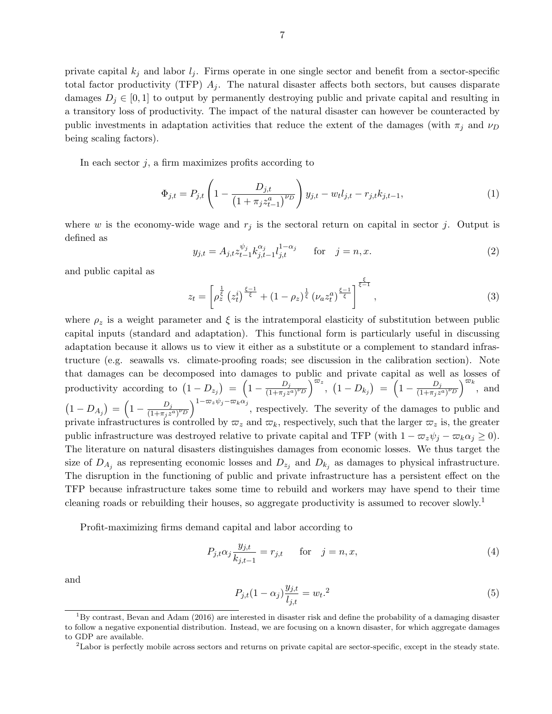private capital  $k_j$  and labor  $l_j$ . Firms operate in one single sector and benefit from a sector-specific total factor productivity (TFP)  $A_j$ . The natural disaster affects both sectors, but causes disparate damages  $D_i \in [0, 1]$  to output by permanently destroying public and private capital and resulting in a transitory loss of productivity. The impact of the natural disaster can however be counteracted by public investments in adaptation activities that reduce the extent of the damages (with  $\pi_i$  and  $\nu_D$ being scaling factors).

In each sector  $j$ , a firm maximizes profits according to

$$
\Phi_{j,t} = P_{j,t} \left( 1 - \frac{D_{j,t}}{\left( 1 + \pi_j z_{t-1}^a \right)^{\nu_D}} \right) y_{j,t} - w_t l_{j,t} - r_{j,t} k_{j,t-1},\tag{1}
$$

where w is the economy-wide wage and  $r_j$  is the sectoral return on capital in sector j. Output is defined as

$$
y_{j,t} = A_{j,t} z_{t-1}^{\psi_j} k_{j,t-1}^{\alpha_j} l_{j,t}^{1-\alpha_j} \quad \text{for} \quad j = n, x.
$$
 (2)

and public capital as

$$
z_t = \left[\rho_z^{\frac{1}{\xi}} \left(z_t^i\right)^{\frac{\xi-1}{\xi}} + (1 - \rho_z)^{\frac{1}{\xi}} \left(\nu_a z_t^a\right)^{\frac{\xi-1}{\xi}}\right]^{\frac{\xi}{\xi-1}},\tag{3}
$$

where  $\rho_z$  is a weight parameter and  $\xi$  is the intratemporal elasticity of substitution between public capital inputs (standard and adaptation). This functional form is particularly useful in discussing adaptation because it allows us to view it either as a substitute or a complement to standard infrastructure (e.g. seawalls vs. climate-proofing roads; see discussion in the calibration section). Note that damages can be decomposed into damages to public and private capital as well as losses of productivity according to  $(1 - D_{z_j}) = \left(1 - \frac{D_j}{(1 + \pi_i z)}\right)$  $\frac{D_j}{(1+\pi_jz^a)^{\nu_D}}\bigg)^{\varpi_z},\,\,\big(1-D_{k_j}\big) = \bigg(1-\frac{D_j}{(1+\pi_jz^a)^{\nu_D}}\bigg)$  $\frac{D_j}{(1+\pi_jz^a)^{\nu_D}}\Big)^{\varpi_k}$ , and  $(1-D_{A_j}) = \left(1 - \frac{D_j}{(1+\pi_i z)}\right)$  $\frac{D_j}{(1+\pi_jz^a)^{\nu_D}}\Big)^{1-\varpi_z\psi_j-\varpi_k\alpha_j}$ , respectively. The severity of the damages to public and private infrastructures is controlled by  $\varpi_z$  and  $\varpi_k$ , respectively, such that the larger  $\varpi_z$  is, the greater public infrastructure was destroyed relative to private capital and TFP (with  $1 - \overline{\omega}_z \psi_i - \overline{\omega}_k \alpha_i \ge 0$ ). The literature on natural disasters distinguishes damages from economic losses. We thus target the size of  $D_{A_j}$  as representing economic losses and  $D_{z_j}$  and  $D_{k_j}$  as damages to physical infrastructure. The disruption in the functioning of public and private infrastructure has a persistent effect on the TFP because infrastructure takes some time to rebuild and workers may have spend to their time cleaning roads or rebuilding their houses, so aggregate productivity is assumed to recover slowly.<sup>1</sup>

Profit-maximizing firms demand capital and labor according to

$$
P_{j,t}\alpha_j \frac{y_{j,t}}{k_{j,t-1}} = r_{j,t} \quad \text{for} \quad j = n, x,
$$
\n
$$
(4)
$$

and

$$
P_{j,t}(1 - \alpha_j) \frac{y_{j,t}}{l_{j,t}} = w_t^{2}
$$
 (5)

 ${}^{1}$ By contrast, Bevan and Adam (2016) are interested in disaster risk and define the probability of a damaging disaster to follow a negative exponential distribution. Instead, we are focusing on a known disaster, for which aggregate damages to GDP are available.

<sup>2</sup>Labor is perfectly mobile across sectors and returns on private capital are sector-specific, except in the steady state.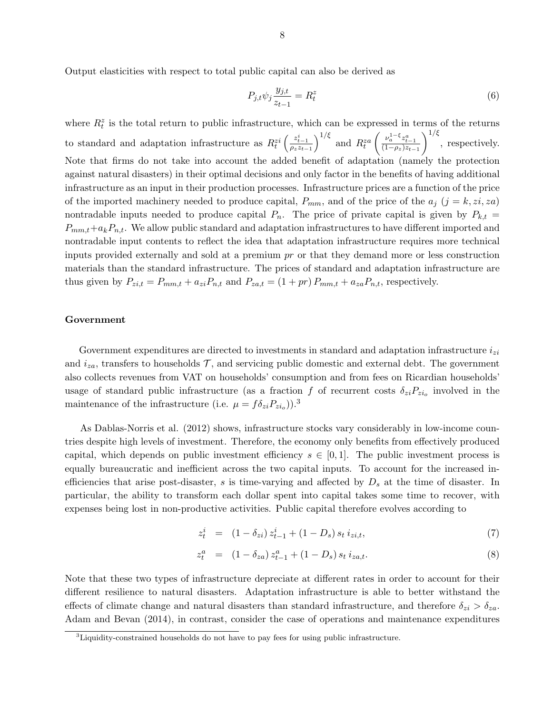Output elasticities with respect to total public capital can also be derived as

$$
P_{j,t}\psi_j \frac{y_{j,t}}{z_{t-1}} = R_t^z \tag{6}
$$

where  $R_t^z$  is the total return to public infrastructure, which can be expressed in terms of the returns to standard and adaptation infrastructure as  $R_t^{zi} \left( \frac{z_{t-1}^i}{\rho_z z_{t-1}} \right)$  $\int_0^{1/\xi}$  and  $R_t^{za}$  $\begin{pmatrix} \nu_a^{1-\xi} z_{t-1}^a \\ \overline{(1-\rho_z)z_{t-1}} \end{pmatrix}$  $\bigg\}^{1/\xi}$ , respectively. Note that firms do not take into account the added benefit of adaptation (namely the protection against natural disasters) in their optimal decisions and only factor in the benefits of having additional infrastructure as an input in their production processes. Infrastructure prices are a function of the price of the imported machinery needed to produce capital,  $P_{mm}$ , and of the price of the  $a_j$   $(j = k, zi, za)$ nontradable inputs needed to produce capital  $P_n$ . The price of private capital is given by  $P_{k,t}$  =  $P_{mm,t}+a_kP_{n,t}$ . We allow public standard and adaptation infrastructures to have different imported and nontradable input contents to reflect the idea that adaptation infrastructure requires more technical inputs provided externally and sold at a premium pr or that they demand more or less construction materials than the standard infrastructure. The prices of standard and adaptation infrastructure are thus given by  $P_{zi,t} = P_{mm,t} + a_{zi}P_{n,t}$  and  $P_{za,t} = (1 + pr)P_{mm,t} + a_{za}P_{n,t}$ , respectively.

#### Government

Government expenditures are directed to investments in standard and adaptation infrastructure  $i_{zi}$ and  $i_{za}$ , transfers to households  $\mathcal{T}$ , and servicing public domestic and external debt. The government also collects revenues from VAT on households' consumption and from fees on Ricardian households' usage of standard public infrastructure (as a fraction f of recurrent costs  $\delta_{zi}P_{zi}$  involved in the maintenance of the infrastructure (i.e.  $\mu = f \delta_{zi} P_{zi_o}$ )).<sup>3</sup>

As Dablas-Norris et al. (2012) shows, infrastructure stocks vary considerably in low-income countries despite high levels of investment. Therefore, the economy only benefits from effectively produced capital, which depends on public investment efficiency  $s \in [0,1]$ . The public investment process is equally bureaucratic and inefficient across the two capital inputs. To account for the increased inefficiencies that arise post-disaster, s is time-varying and affected by  $D_s$  at the time of disaster. In particular, the ability to transform each dollar spent into capital takes some time to recover, with expenses being lost in non-productive activities. Public capital therefore evolves according to

$$
z_t^i = (1 - \delta_{zi}) z_{t-1}^i + (1 - D_s) s_t i_{zi,t}, \qquad (7)
$$

$$
z_t^a = (1 - \delta_{za}) z_{t-1}^a + (1 - D_s) s_t i_{za,t}.
$$
\n(8)

Note that these two types of infrastructure depreciate at different rates in order to account for their different resilience to natural disasters. Adaptation infrastructure is able to better withstand the effects of climate change and natural disasters than standard infrastructure, and therefore  $\delta_{zi} > \delta_{za}$ . Adam and Bevan (2014), in contrast, consider the case of operations and maintenance expenditures

<sup>&</sup>lt;sup>3</sup>Liquidity-constrained households do not have to pay fees for using public infrastructure.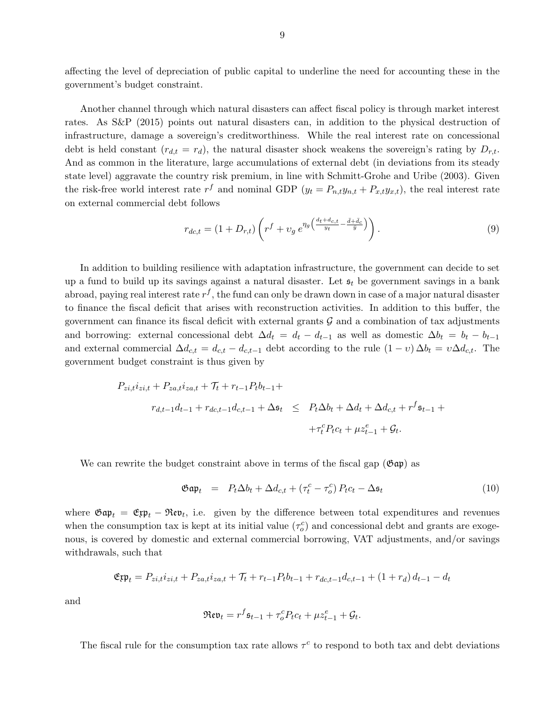affecting the level of depreciation of public capital to underline the need for accounting these in the government's budget constraint.

Another channel through which natural disasters can affect fiscal policy is through market interest rates. As S&P (2015) points out natural disasters can, in addition to the physical destruction of infrastructure, damage a sovereign's creditworthiness. While the real interest rate on concessional debt is held constant  $(r_{d,t} = r_d)$ , the natural disaster shock weakens the sovereign's rating by  $D_{r,t}$ . And as common in the literature, large accumulations of external debt (in deviations from its steady state level) aggravate the country risk premium, in line with Schmitt-Grohe and Uribe (2003). Given the risk-free world interest rate  $r^f$  and nominal GDP  $(y_t = P_{n,t}y_{n,t} + P_{x,t}y_{x,t})$ , the real interest rate on external commercial debt follows

$$
r_{dc,t} = (1 + D_{r,t}) \left( r^f + v_g \, e^{\eta_g \left( \frac{d_t + d_{c,t}}{y_t} - \frac{\bar{d} + \bar{d}_c}{\bar{y}} \right)} \right). \tag{9}
$$

In addition to building resilience with adaptation infrastructure, the government can decide to set up a fund to build up its savings against a natural disaster. Let  $s_t$  be government savings in a bank abroad, paying real interest rate  $r^f$ , the fund can only be drawn down in case of a major natural disaster to finance the fiscal deficit that arises with reconstruction activities. In addition to this buffer, the government can finance its fiscal deficit with external grants  $G$  and a combination of tax adjustments and borrowing: external concessional debt  $\Delta d_t = d_t - d_{t-1}$  as well as domestic  $\Delta b_t = b_t - b_{t-1}$ and external commercial  $\Delta d_{c,t} = d_{c,t} - d_{c,t-1}$  debt according to the rule  $(1 - v) \Delta b_t = v \Delta d_{c,t}$ . The government budget constraint is thus given by

$$
P_{zi,t}i_{zi,t} + P_{za,t}i_{za,t} + T_t + r_{t-1}P_t b_{t-1} +
$$
  

$$
r_{d,t-1}d_{t-1} + r_{dc,t-1}d_{c,t-1} + \Delta \mathfrak{s}_t \leq P_t \Delta b_t + \Delta d_t + \Delta d_{c,t} + r^f \mathfrak{s}_{t-1} +
$$
  

$$
+ \tau_t^c P_t c_t + \mu z_{t-1}^e + \mathcal{G}_t.
$$

We can rewrite the budget constraint above in terms of the fiscal gap ( $\mathfrak{Cap}$ ) as

$$
\mathfrak{Cap}_t = P_t \Delta b_t + \Delta d_{c,t} + (\tau_t^c - \tau_o^c) P_t c_t - \Delta \mathfrak{s}_t \tag{10}
$$

where  $\mathfrak{Cap}_t = \mathfrak{Exp}_t - \mathfrak{Rep}_t$ , i.e. given by the difference between total expenditures and revenues when the consumption tax is kept at its initial value  $(\tau_o^c)$  and concessional debt and grants are exogenous, is covered by domestic and external commercial borrowing, VAT adjustments, and/or savings withdrawals, such that

$$
\mathfrak{E} \mathfrak{p}_t = P_{zi,t} i_{zi,t} + P_{za,t} i_{za,t} + \mathcal{T}_t + r_{t-1} P_t b_{t-1} + r_{dc,t-1} d_{c,t-1} + (1 + r_d) d_{t-1} - d_t
$$

and

$$
\Re \mathfrak{e} \mathfrak{v}_t = r^f \mathfrak{s}_{t-1} + \tau_o^c P_t c_t + \mu z_{t-1}^e + \mathcal{G}_t.
$$

The fiscal rule for the consumption tax rate allows  $\tau^c$  to respond to both tax and debt deviations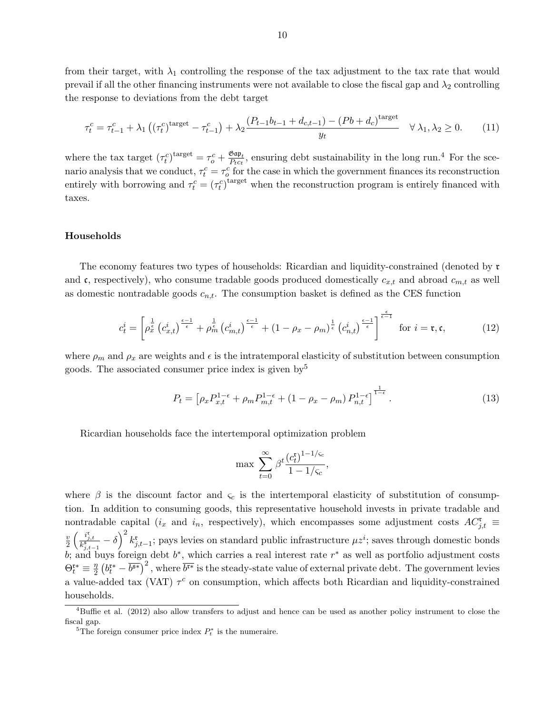from their target, with  $\lambda_1$  controlling the response of the tax adjustment to the tax rate that would prevail if all the other financing instruments were not available to close the fiscal gap and  $\lambda_2$  controlling the response to deviations from the debt target

$$
\tau_t^c = \tau_{t-1}^c + \lambda_1 \left( (\tau_t^c)^{\text{target}} - \tau_{t-1}^c \right) + \lambda_2 \frac{(P_{t-1}b_{t-1} + d_{c,t-1}) - (Pb + d_c)^{\text{target}}}{y_t} \quad \forall \lambda_1, \lambda_2 \ge 0. \tag{11}
$$

where the tax target  $(\tau_t^c)^{\text{target}} = \tau_o^c + \frac{\mathfrak{G} \mathfrak{a} \mathfrak{p}_t}{P_t c_t}$  $\frac{\partial \Phi_{\mu}}{P_t c_t}$ , ensuring debt sustainability in the long run.<sup>4</sup> For the scenario analysis that we conduct,  $\tau_t^c = \tau_o^c$  for the case in which the government finances its reconstruction entirely with borrowing and  $\tau_t^c = (\tau_t^c)^{\text{target}}$  when the reconstruction program is entirely financed with taxes.

#### Households

The economy features two types of households: Ricardian and liquidity-constrained (denoted by r and c, respectively), who consume tradable goods produced domestically  $c_{x,t}$  and abroad  $c_{m,t}$  as well as domestic nontradable goods  $c_{n,t}$ . The consumption basket is defined as the CES function

$$
c_t^i = \left[\rho_x^{\frac{1}{\epsilon}} \left(c_{x,t}^i\right)^{\frac{\epsilon-1}{\epsilon}} + \rho_m^{\frac{1}{\epsilon}} \left(c_{m,t}^i\right)^{\frac{\epsilon-1}{\epsilon}} + (1 - \rho_x - \rho_m)^{\frac{1}{\epsilon}} \left(c_{n,t}^i\right)^{\frac{\epsilon-1}{\epsilon}}\right]^{\frac{\epsilon}{\epsilon-1}} \text{ for } i = \mathfrak{r}, \mathfrak{c},\tag{12}
$$

where  $\rho_m$  and  $\rho_x$  are weights and  $\epsilon$  is the intratemporal elasticity of substitution between consumption goods. The associated consumer price index is given by $\delta$ 

$$
P_t = \left[ \rho_x P_{x,t}^{1-\epsilon} + \rho_m P_{m,t}^{1-\epsilon} + (1 - \rho_x - \rho_m) P_{n,t}^{1-\epsilon} \right]^{\frac{1}{1-\epsilon}}.
$$
\n(13)

Ricardian households face the intertemporal optimization problem

$$
\max \sum_{t=0}^{\infty} \beta^t \frac{(c_t^{\mathfrak{r}})^{1-1/\varsigma_c}}{1-1/\varsigma_c},
$$

where  $\beta$  is the discount factor and  $\varsigma_c$  is the intertemporal elasticity of substitution of consumption. In addition to consuming goods, this representative household invests in private tradable and nontradable capital ( $i_x$  and  $i_n$ , respectively), which encompasses some adjustment costs  $AC_{j,t}^{\tau}$ v  $\frac{v}{2} \left(\frac{i_{j,t}^{\mathfrak{r}}}{k_{j,t-1}^{\mathfrak{s}}}-\delta\right)^2 k_{j,t-1}^{\mathfrak{r}}$ ; pays levies on standard public infrastructure  $\mu z^i$ ; saves through domestic bonds b; and buys foreign debt  $b^*$ , which carries a real interest rate  $r^*$  as well as portfolio adjustment costs  $\Theta_t^{\mathfrak{r}*} \equiv \frac{\eta}{2}$  $\frac{\eta}{2}$   $(b_t^{t*} - \overline{b^{s*}})^2$ , where  $\overline{b^{t*}}$  is the steady-state value of external private debt. The government levies a value-added tax (VAT)  $\tau^c$  on consumption, which affects both Ricardian and liquidity-constrained households.

<sup>4</sup>Buffie et al. (2012) also allow transfers to adjust and hence can be used as another policy instrument to close the fiscal gap.

<sup>&</sup>lt;sup>5</sup>The foreign consumer price index  $P_t^*$  is the numeraire.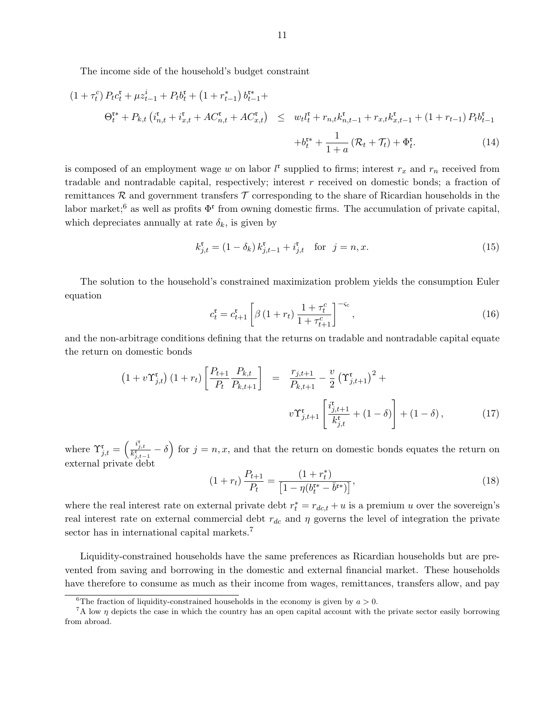The income side of the household's budget constraint

$$
(1 + \tau_t^c) P_t c_t^{\mathfrak{r}} + \mu z_{t-1}^i + P_t b_t^{\mathfrak{r}} + (1 + r_{t-1}^*) b_{t-1}^{\mathfrak{r}^*} + \n\Theta_t^{\mathfrak{r}} + P_{k,t} \left( i_{n,t}^{\mathfrak{r}} + i_{x,t}^{\mathfrak{r}} + AC_{n,t}^{\mathfrak{r}} + AC_{n,t}^{\mathfrak{r}} \right) \leq w_t l_t^{\mathfrak{r}} + r_{n,t} k_{n,t-1}^{\mathfrak{r}} + r_{x,t} k_{x,t-1}^{\mathfrak{r}} + (1 + r_{t-1}) P_t b_{t-1}^{\mathfrak{r}} + \n\Theta_t^{\mathfrak{r}} + \frac{1}{1+a} \left( \mathcal{R}_t + \mathcal{T}_t \right) + \Phi_t^{\mathfrak{r}}.
$$
\n
$$
(14)
$$

is composed of an employment wage w on labor  $l^{\mathfrak{r}}$  supplied to firms; interest  $r_x$  and  $r_n$  received from tradable and nontradable capital, respectively; interest r received on domestic bonds; a fraction of remittances  $\mathcal R$  and government transfers  $\mathcal T$  corresponding to the share of Ricardian households in the labor market;<sup>6</sup> as well as profits  $\Phi^{\tau}$  from owning domestic firms. The accumulation of private capital, which depreciates annually at rate  $\delta_k$ , is given by

$$
k_{j,t}^{\mathfrak{r}} = (1 - \delta_k) k_{j,t-1}^{\mathfrak{r}} + i_{j,t}^{\mathfrak{r}} \quad \text{for} \quad j = n, x. \tag{15}
$$

The solution to the household's constrained maximization problem yields the consumption Euler equation

$$
c_t^{\mathfrak{r}} = c_{t+1}^{\mathfrak{r}} \left[ \beta \left( 1 + r_t \right) \frac{1 + \tau_t^c}{1 + \tau_{t+1}^c} \right]^{-\varsigma_c},\tag{16}
$$

and the non-arbitrage conditions defining that the returns on tradable and nontradable capital equate the return on domestic bonds

$$
(1 + v\Upsilon_{j,t}^{t}) (1 + r_{t}) \left[ \frac{P_{t+1}}{P_{t}} \frac{P_{k,t}}{P_{k,t+1}} \right] = \frac{r_{j,t+1}}{P_{k,t+1}} - \frac{v}{2} (\Upsilon_{j,t+1}^{t})^{2} + v\Upsilon_{j,t+1}^{t} \left[ \frac{i_{j,t+1}^{t}}{k_{j,t}^{t}} + (1 - \delta) \right] + (1 - \delta), \qquad (17)
$$

where  $\Upsilon_{j,t}^{\mathfrak{r}} = \left(\frac{i_{j,t}^{\mathfrak{r}}}{k_{j,t-1}^{\mathfrak{r}} - 1} - \delta\right)$  for  $j = n, x$ , and that the return on domestic bonds equates the return on external private debt

$$
(1+r_t)\frac{P_{t+1}}{P_t} = \frac{(1+r_t^*)}{\left[1-\eta(b_t^{t*}-\bar{b}^{t*})\right]},
$$
\n(18)

where the real interest rate on external private debt  $r_t^* = r_{dc,t} + u$  is a premium u over the sovereign's real interest rate on external commercial debt  $r_{dc}$  and  $\eta$  governs the level of integration the private sector has in international capital markets.<sup>7</sup>

Liquidity-constrained households have the same preferences as Ricardian households but are prevented from saving and borrowing in the domestic and external financial market. These households have therefore to consume as much as their income from wages, remittances, transfers allow, and pay

<sup>&</sup>lt;sup>6</sup>The fraction of liquidity-constrained households in the economy is given by  $a > 0$ .

<sup>&</sup>lt;sup>7</sup>A low  $\eta$  depicts the case in which the country has an open capital account with the private sector easily borrowing from abroad.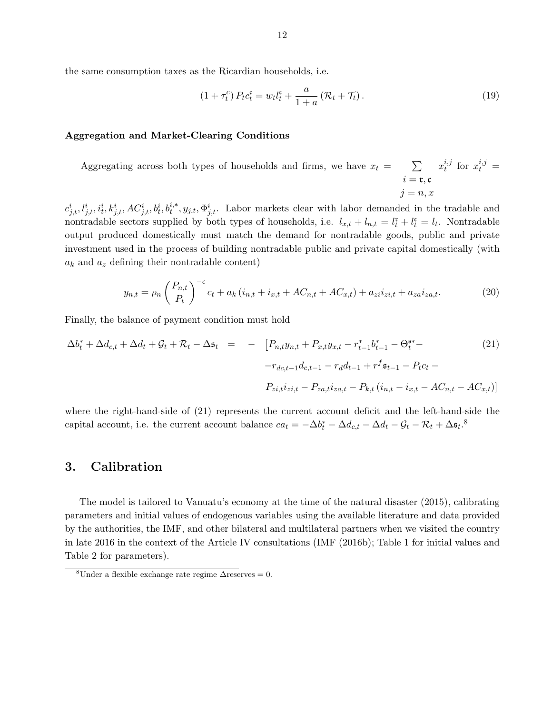the same consumption taxes as the Ricardian households, i.e.

$$
(1 + \tau_t^c) P_t c_t^{\mathfrak{c}} = w_t l_t^{\mathfrak{c}} + \frac{a}{1 + a} \left( \mathcal{R}_t + \mathcal{T}_t \right).
$$
 (19)

#### Aggregation and Market-Clearing Conditions

Aggregating across both types of households and firms, we have  $x_t = \sum$  $i = \mathfrak{r}, \mathfrak{c}$  $i = n, x$  $x_t^{i,j}$  $i,j$  for  $x_t^{i,j} =$ 

 $c_{j,t}^i, l_{j,t}^i, i_t^i, k_{j,t}^i, AC_{j,t}^i, b_t^i, b_t^{i,*}, y_{j,t}, \Phi_{j,t}^i$ . Labor markets clear with labor demanded in the tradable and nontradable sectors supplied by both types of households, i.e.  $l_{x,t} + l_{n,t} = l_t^{\text{r}} + l_t^{\text{c}} = l_t$ . Nontradable output produced domestically must match the demand for nontradable goods, public and private investment used in the process of building nontradable public and private capital domestically (with  $a_k$  and  $a_z$  defining their nontradable content)

$$
y_{n,t} = \rho_n \left(\frac{P_{n,t}}{P_t}\right)^{-\epsilon} c_t + a_k \left(i_{n,t} + i_{x,t} + AC_{n,t} + AC_{x,t}\right) + a_{zi} i_{zi,t} + a_{za} i_{za,t}.
$$
 (20)

Finally, the balance of payment condition must hold

$$
\Delta b_t^* + \Delta d_{c,t} + \Delta d_t + \mathcal{G}_t + \mathcal{R}_t - \Delta \mathfrak{s}_t = -\left[ P_{n,t} y_{n,t} + P_{x,t} y_{x,t} - r_{t-1}^* b_{t-1}^* - \Theta_t^{\mathfrak{s} *} - T_{n,t-1}^* b_{t-1}^* - \Theta_t^{\mathfrak{s} *} - T_{n,t-1}^* b_{t-1}^* - P_{t-1}^* b_{t-1}^* - P_{t-1}^* b_{t-1}^* - P_{t-1}^* b_{t-1}^* - P_{t-1}^* b_{t-1}^* - P_{t-1}^* b_{t-1}^* - P_{t-1}^* b_{t-1}^* - P_{t-1}^* b_{t-1}^* - P_{t-1}^* b_{t-1}^* - P_{t-1}^* b_{t-1}^* - P_{t-1}^* b_{t-1}^* - P_{t-1}^* b_{t-1}^* - P_{t-1}^* b_{t-1}^* - P_{t-1}^* b_{t-1}^* - P_{t-1}^* b_{t-1}^* - P_{t-1}^* b_{t-1}^* - P_{t-1}^* b_{t-1}^* - P_{t-1}^* b_{t-1}^* - P_{t-1}^* b_{t-1}^* - P_{t-1}^* b_{t-1}^* - P_{t-1}^* b_{t-1}^* - P_{t-1}^* b_{t-1}^* - P_{t-1}^* b_{t-1}^* - P_{t-1}^* b_{t-1}^* - P_{t-1}^* b_{t-1}^* - P_{t-1}^* b_{t-1}^* - P_{t-1}^* b_{t-1}^* - P_{t-1}^* b_{t-1}^* - P_{t-1}^* b_{t-1}^* - P_{t-1}^* b_{t-1}^* - P_{t-1}^* b_{t-1}^* - P_{t-1}^* b_{t-1}^* - P_{t-1}^* b_{t-1}^* - P_{t-1}^* b_{t-1}^* - P_{t-1}^* b_{t-1}^* - P_{t-1}^* b_{t-1}^* - P_{t-1}^* b_{t-1}^*
$$

where the right-hand-side of (21) represents the current account deficit and the left-hand-side the capital account, i.e. the current account balance  $ca_t = -\Delta b_t^* - \Delta d_{c,t} - \Delta d_t - \mathcal{G}_t - \mathcal{R}_t + \Delta \mathfrak{s}_t$ .<sup>8</sup>

# 3. Calibration

The model is tailored to Vanuatu's economy at the time of the natural disaster (2015), calibrating parameters and initial values of endogenous variables using the available literature and data provided by the authorities, the IMF, and other bilateral and multilateral partners when we visited the country in late 2016 in the context of the Article IV consultations (IMF (2016b); Table 1 for initial values and Table 2 for parameters).

<sup>&</sup>lt;sup>8</sup>Under a flexible exchange rate regime  $\Delta$ reserves = 0.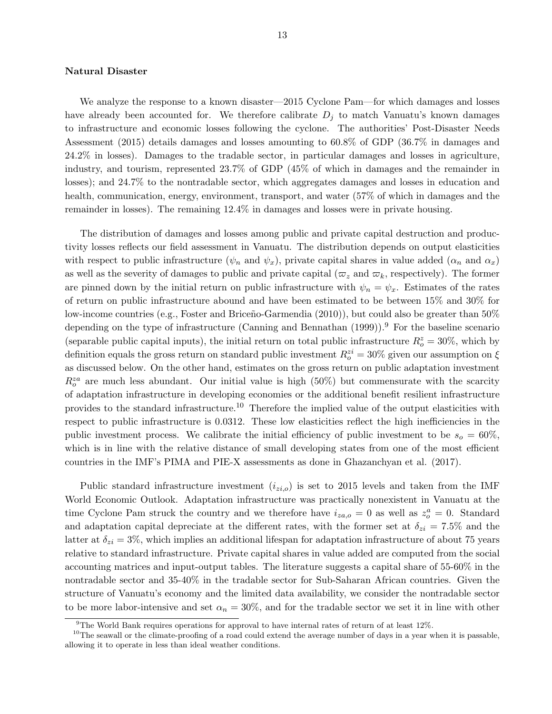#### Natural Disaster

We analyze the response to a known disaster—2015 Cyclone Pam—for which damages and losses have already been accounted for. We therefore calibrate  $D_i$  to match Vanuatu's known damages to infrastructure and economic losses following the cyclone. The authorities' Post-Disaster Needs Assessment (2015) details damages and losses amounting to 60.8% of GDP (36.7% in damages and 24.2% in losses). Damages to the tradable sector, in particular damages and losses in agriculture, industry, and tourism, represented 23.7% of GDP (45% of which in damages and the remainder in losses); and 24.7% to the nontradable sector, which aggregates damages and losses in education and health, communication, energy, environment, transport, and water  $(57\%$  of which in damages and the remainder in losses). The remaining 12.4% in damages and losses were in private housing.

The distribution of damages and losses among public and private capital destruction and productivity losses reflects our field assessment in Vanuatu. The distribution depends on output elasticities with respect to public infrastructure  $(\psi_n$  and  $\psi_x)$ , private capital shares in value added  $(\alpha_n$  and  $\alpha_x)$ as well as the severity of damages to public and private capital ( $\varpi_z$  and  $\varpi_k$ , respectively). The former are pinned down by the initial return on public infrastructure with  $\psi_n = \psi_x$ . Estimates of the rates of return on public infrastructure abound and have been estimated to be between 15% and 30% for low-income countries (e.g., Foster and Briceño-Garmendia  $(2010)$ ), but could also be greater than  $50\%$ depending on the type of infrastructure (Canning and Bennathan (1999)).<sup>9</sup> For the baseline scenario (separable public capital inputs), the initial return on total public infrastructure  $R_o^z = 30\%$ , which by definition equals the gross return on standard public investment  $R_o^{zi} = 30\%$  given our assumption on  $\xi$ as discussed below. On the other hand, estimates on the gross return on public adaptation investment  $R_o^{za}$  are much less abundant. Our initial value is high (50%) but commensurate with the scarcity of adaptation infrastructure in developing economies or the additional benefit resilient infrastructure provides to the standard infrastructure.<sup>10</sup> Therefore the implied value of the output elasticities with respect to public infrastructure is 0.0312. These low elasticities reflect the high inefficiencies in the public investment process. We calibrate the initial efficiency of public investment to be  $s_o = 60\%$ , which is in line with the relative distance of small developing states from one of the most efficient countries in the IMF's PIMA and PIE-X assessments as done in Ghazanchyan et al. (2017).

Public standard infrastructure investment  $(i_{zio})$  is set to 2015 levels and taken from the IMF World Economic Outlook. Adaptation infrastructure was practically nonexistent in Vanuatu at the time Cyclone Pam struck the country and we therefore have  $i_{za,o} = 0$  as well as  $z_o^a = 0$ . Standard and adaptation capital depreciate at the different rates, with the former set at  $\delta_{zi} = 7.5\%$  and the latter at  $\delta_{zi} = 3\%$ , which implies an additional lifespan for adaptation infrastructure of about 75 years relative to standard infrastructure. Private capital shares in value added are computed from the social accounting matrices and input-output tables. The literature suggests a capital share of 55-60% in the nontradable sector and 35-40% in the tradable sector for Sub-Saharan African countries. Given the structure of Vanuatu's economy and the limited data availability, we consider the nontradable sector to be more labor-intensive and set  $\alpha_n = 30\%$ , and for the tradable sector we set it in line with other

 $9$ The World Bank requires operations for approval to have internal rates of return of at least 12%.

 $10$ The seawall or the climate-proofing of a road could extend the average number of days in a year when it is passable, allowing it to operate in less than ideal weather conditions.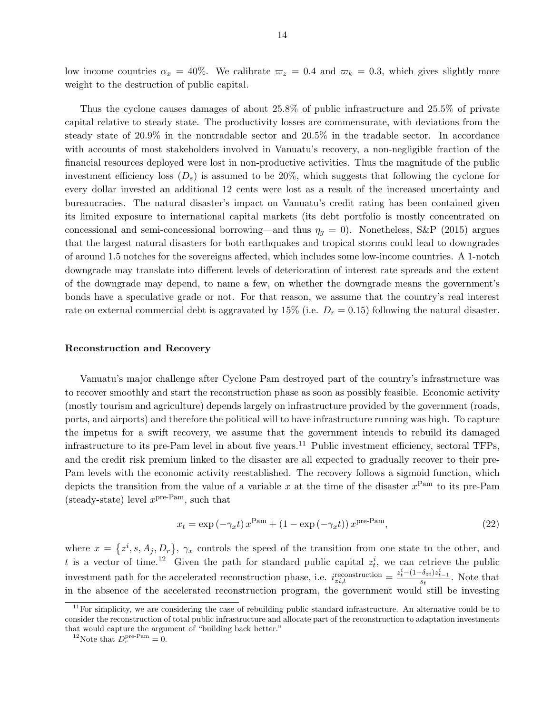low income countries  $\alpha_x = 40\%$ . We calibrate  $\overline{\alpha}_z = 0.4$  and  $\overline{\alpha}_k = 0.3$ , which gives slightly more weight to the destruction of public capital.

Thus the cyclone causes damages of about 25.8% of public infrastructure and 25.5% of private capital relative to steady state. The productivity losses are commensurate, with deviations from the steady state of 20.9% in the nontradable sector and 20.5% in the tradable sector. In accordance with accounts of most stakeholders involved in Vanuatu's recovery, a non-negligible fraction of the financial resources deployed were lost in non-productive activities. Thus the magnitude of the public investment efficiency loss  $(D_s)$  is assumed to be 20%, which suggests that following the cyclone for every dollar invested an additional 12 cents were lost as a result of the increased uncertainty and bureaucracies. The natural disaster's impact on Vanuatu's credit rating has been contained given its limited exposure to international capital markets (its debt portfolio is mostly concentrated on concessional and semi-concessional borrowing—and thus  $\eta_g = 0$ ). Nonetheless, S&P (2015) argues that the largest natural disasters for both earthquakes and tropical storms could lead to downgrades of around 1.5 notches for the sovereigns affected, which includes some low-income countries. A 1-notch downgrade may translate into different levels of deterioration of interest rate spreads and the extent of the downgrade may depend, to name a few, on whether the downgrade means the government's bonds have a speculative grade or not. For that reason, we assume that the country's real interest rate on external commercial debt is aggravated by 15% (i.e.  $D_r = 0.15$ ) following the natural disaster.

#### Reconstruction and Recovery

Vanuatu's major challenge after Cyclone Pam destroyed part of the country's infrastructure was to recover smoothly and start the reconstruction phase as soon as possibly feasible. Economic activity (mostly tourism and agriculture) depends largely on infrastructure provided by the government (roads, ports, and airports) and therefore the political will to have infrastructure running was high. To capture the impetus for a swift recovery, we assume that the government intends to rebuild its damaged infrastructure to its pre-Pam level in about five years.<sup>11</sup> Public investment efficiency, sectoral TFPs, and the credit risk premium linked to the disaster are all expected to gradually recover to their pre-Pam levels with the economic activity reestablished. The recovery follows a sigmoid function, which depicts the transition from the value of a variable x at the time of the disaster  $x^{Pam}$  to its pre-Pam (steady-state) level  $x^{\text{pre-Pam}}$ , such that

$$
x_t = \exp\left(-\gamma_x t\right) x^{\text{Pam}} + \left(1 - \exp\left(-\gamma_x t\right)\right) x^{\text{pre-Pam}},\tag{22}
$$

where  $x = \{z^i, s, A_j, D_r\}, \gamma_x$  controls the speed of the transition from one state to the other, and t is a vector of time.<sup>12</sup> Given the path for standard public capital  $z_t^i$ , we can retrieve the public investment path for the accelerated reconstruction phase, i.e.  $i_{zi,t}^{\text{reconstruction}} = \frac{z_t^i - (1 - \delta_{zi})z_{t-1}^i}{s_t}$ . Note that in the absence of the accelerated reconstruction program, the government would still be investing

 $11$  For simplicity, we are considering the case of rebuilding public standard infrastructure. An alternative could be to consider the reconstruction of total public infrastructure and allocate part of the reconstruction to adaptation investments that would capture the argument of "building back better."

<sup>&</sup>lt;sup>12</sup>Note that  $D_r^{\text{pre-Pam}} = 0$ .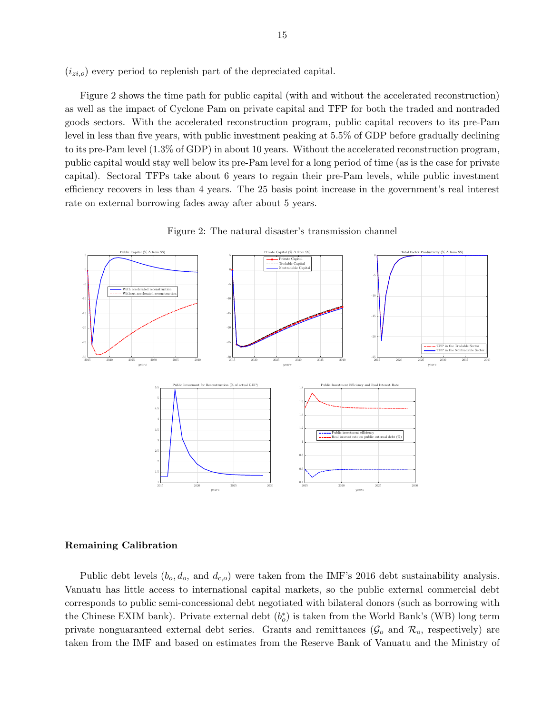$(i_{zi,o})$  every period to replenish part of the depreciated capital.

Figure 2 shows the time path for public capital (with and without the accelerated reconstruction) as well as the impact of Cyclone Pam on private capital and TFP for both the traded and nontraded goods sectors. With the accelerated reconstruction program, public capital recovers to its pre-Pam level in less than five years, with public investment peaking at 5.5% of GDP before gradually declining to its pre-Pam level (1.3% of GDP) in about 10 years. Without the accelerated reconstruction program, public capital would stay well below its pre-Pam level for a long period of time (as is the case for private capital). Sectoral TFPs take about 6 years to regain their pre-Pam levels, while public investment efficiency recovers in less than 4 years. The 25 basis point increase in the government's real interest rate on external borrowing fades away after about 5 years.



Figure 2: The natural disaster's transmission channel

#### Remaining Calibration

Public debt levels  $(b_o, d_o, \text{ and } d_{c,o})$  were taken from the IMF's 2016 debt sustainability analysis. Vanuatu has little access to international capital markets, so the public external commercial debt corresponds to public semi-concessional debt negotiated with bilateral donors (such as borrowing with the Chinese EXIM bank). Private external debt  $(b_o^*)$  is taken from the World Bank's (WB) long term private nonguaranteed external debt series. Grants and remittances ( $\mathcal{G}_o$  and  $\mathcal{R}_o$ , respectively) are taken from the IMF and based on estimates from the Reserve Bank of Vanuatu and the Ministry of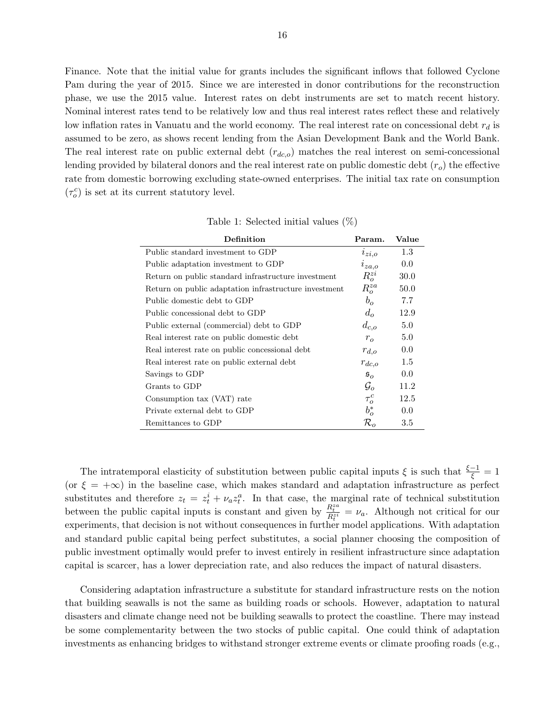Finance. Note that the initial value for grants includes the significant inflows that followed Cyclone Pam during the year of 2015. Since we are interested in donor contributions for the reconstruction phase, we use the 2015 value. Interest rates on debt instruments are set to match recent history. Nominal interest rates tend to be relatively low and thus real interest rates reflect these and relatively low inflation rates in Vanuatu and the world economy. The real interest rate on concessional debt  $r_d$  is assumed to be zero, as shows recent lending from the Asian Development Bank and the World Bank. The real interest rate on public external debt  $(r_{dc,o})$  matches the real interest on semi-concessional lending provided by bilateral donors and the real interest rate on public domestic debt  $(r<sub>o</sub>)$  the effective rate from domestic borrowing excluding state-owned enterprises. The initial tax rate on consumption  $(\tau_o^c)$  is set at its current statutory level.

| Definition                                            | Param.           | Value |
|-------------------------------------------------------|------------------|-------|
| Public standard investment to GDP                     | $i_{zi,o}$       | 1.3   |
| Public adaptation investment to GDP                   | $i_{za,o}$       | 0.0   |
| Return on public standard infrastructure investment   | $R_o^{zi}$       | 30.0  |
| Return on public adaptation infrastructure investment | $R_o^{za}$       | 50.0  |
| Public domestic debt to GDP                           | $b_o$            | 7.7   |
| Public concessional debt to GDP                       | $d_o$            | 12.9  |
| Public external (commercial) debt to GDP              | $d_{c,o}$        | 5.0   |
| Real interest rate on public domestic debt            | $r_{\alpha}$     | 5.0   |
| Real interest rate on public concessional debt        | $r_{d,o}$        | 0.0   |
| Real interest rate on public external debt            | $r_{dc,o}$       | 1.5   |
| Savings to GDP                                        | $\mathfrak{s}_o$ | 0.0   |
| Grants to GDP                                         | $\mathcal{G}_o$  | 11.2  |
| Consumption tax (VAT) rate                            | $\tau_o^c$       | 12.5  |
| Private external debt to GDP                          | $b^*_{\alpha}$   | 0.0   |
| Remittances to GDP                                    | $\mathcal{R}_o$  | 3.5   |

Table 1: Selected initial values (%)

The intratemporal elasticity of substitution between public capital inputs  $\xi$  is such that  $\frac{\xi-1}{\xi}=1$ (or  $\xi = +\infty$ ) in the baseline case, which makes standard and adaptation infrastructure as perfect substitutes and therefore  $z_t = z_t^i + \nu_a z_t^a$ . In that case, the marginal rate of technical substitution between the public capital inputs is constant and given by  $\frac{R_t^{za}}{R_t^{zi}} = \nu_a$ . Although not critical for our experiments, that decision is not without consequences in further model applications. With adaptation and standard public capital being perfect substitutes, a social planner choosing the composition of public investment optimally would prefer to invest entirely in resilient infrastructure since adaptation capital is scarcer, has a lower depreciation rate, and also reduces the impact of natural disasters.

Considering adaptation infrastructure a substitute for standard infrastructure rests on the notion that building seawalls is not the same as building roads or schools. However, adaptation to natural disasters and climate change need not be building seawalls to protect the coastline. There may instead be some complementarity between the two stocks of public capital. One could think of adaptation investments as enhancing bridges to withstand stronger extreme events or climate proofing roads (e.g.,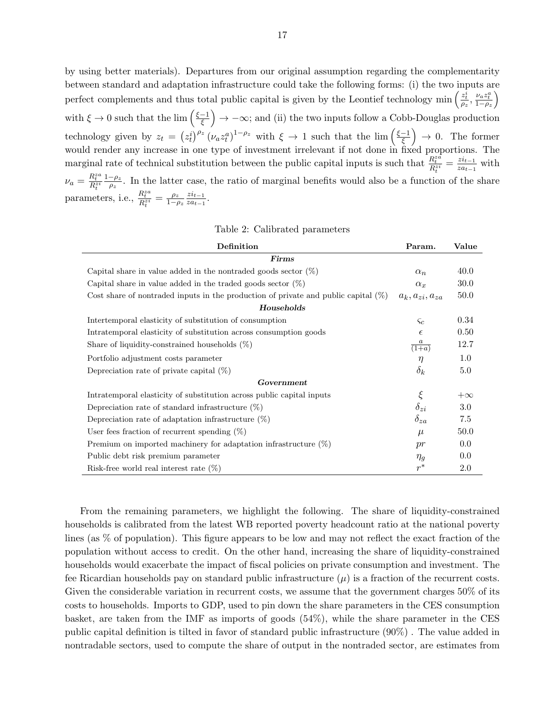by using better materials). Departures from our original assumption regarding the complementarity between standard and adaptation infrastructure could take the following forms: (i) the two inputs are perfect complements and thus total public capital is given by the Leontief technology min  $\left(\frac{z_i^i}{\rho_z}, \frac{\nu_a z_i^a}{1-\rho_z}\right)$ with  $\xi \to 0$  such that the lim  $\left(\frac{\xi-1}{\xi}\right)$  $\left(\frac{-1}{\xi}\right) \to -\infty$ ; and (ii) the two inputs follow a Cobb-Douglas production technology given by  $z_t = (z_t^i)^{\rho_z} (\nu_a z_t^a)^{1-\rho_z}$  with  $\xi \to 1$  such that the lim  $\left(\frac{\xi-1}{\xi}\right)$  $\left(\frac{-1}{\xi}\right) \rightarrow 0$ . The former would render any increase in one type of investment irrelevant if not done in fixed proportions. The marginal rate of technical substitution between the public capital inputs is such that  $\frac{R_t^{z\bar{a}}}{R_t^{zi}} = \frac{zi_{t-1}}{z_{a_{t-1}}}$  $\frac{z_{i_{t-1}}}{z_{a_{t-1}}}$  with  $\nu_a = \frac{R_t^{za}}{R_t^{zi}}$  $1-\rho_z$  $\frac{-\rho_z}{\rho_z}$ . In the latter case, the ratio of marginal benefits would also be a function of the share parameters, i.e.,  $\frac{R_t^{za}}{R_t^{zi}} = \frac{\rho_z}{1-\rho_z}$  $1-\rho_z$  $zi_{t-1}$  $\frac{zt_{t-1}}{z a_{t-1}}$ .

| Definition                                                                            | Param.                | Value     |  |  |
|---------------------------------------------------------------------------------------|-----------------------|-----------|--|--|
| Firms                                                                                 |                       |           |  |  |
| Capital share in value added in the nontraded goods sector $(\%)$                     | $\alpha_n$            | 40.0      |  |  |
| Capital share in value added in the traded goods sector $(\%)$                        | $\alpha_x$            | 30.0      |  |  |
| Cost share of nontraded inputs in the production of private and public capital $(\%)$ | $a_k, a_{zi}, a_{za}$ | 50.0      |  |  |
| Households                                                                            |                       |           |  |  |
| Intertemporal elasticity of substitution of consumption                               | $\varsigma_c$         | 0.34      |  |  |
| Intratemporal elasticity of substitution across consumption goods                     | $\epsilon$            | 0.50      |  |  |
| Share of liquidity-constrained households $(\%)$                                      | $(1+a)$               | 12.7      |  |  |
| Portfolio adjustment costs parameter                                                  | η                     | 1.0       |  |  |
| Depreciation rate of private capital $(\%)$                                           | $\delta_k$            | 5.0       |  |  |
| Government                                                                            |                       |           |  |  |
| Intratemporal elasticity of substitution across public capital inputs                 | ξ                     | $+\infty$ |  |  |
| Depreciation rate of standard infrastructure $(\%)$                                   | $\delta_{zi}$         | 3.0       |  |  |
| Depreciation rate of adaptation infrastructure $(\%)$                                 | $\delta_{za}$         | 7.5       |  |  |
| User fees fraction of recurrent spending $(\%)$                                       | $\mu$                 | 50.0      |  |  |
| Premium on imported machinery for adaptation infrastructure $(\%)$<br>pr              |                       | 0.0       |  |  |
| Public debt risk premium parameter                                                    |                       | 0.0       |  |  |
| Risk-free world real interest rate $(\%)$                                             | $\eta_g$<br>$r^*$     | 2.0       |  |  |

|  |  | Table 2: Calibrated parameters |
|--|--|--------------------------------|
|--|--|--------------------------------|

From the remaining parameters, we highlight the following. The share of liquidity-constrained households is calibrated from the latest WB reported poverty headcount ratio at the national poverty lines (as % of population). This figure appears to be low and may not reflect the exact fraction of the population without access to credit. On the other hand, increasing the share of liquidity-constrained households would exacerbate the impact of fiscal policies on private consumption and investment. The fee Ricardian households pay on standard public infrastructure  $(\mu)$  is a fraction of the recurrent costs. Given the considerable variation in recurrent costs, we assume that the government charges 50% of its costs to households. Imports to GDP, used to pin down the share parameters in the CES consumption basket, are taken from the IMF as imports of goods (54%), while the share parameter in the CES public capital definition is tilted in favor of standard public infrastructure (90%) . The value added in nontradable sectors, used to compute the share of output in the nontraded sector, are estimates from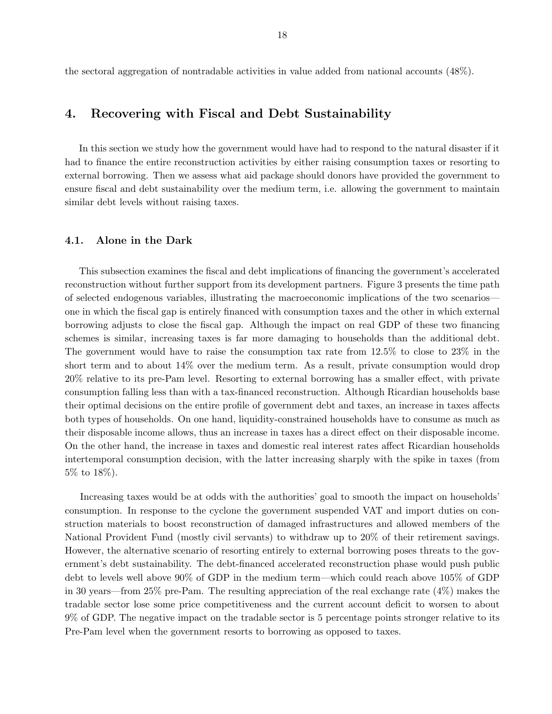the sectoral aggregation of nontradable activities in value added from national accounts (48%).

# 4. Recovering with Fiscal and Debt Sustainability

In this section we study how the government would have had to respond to the natural disaster if it had to finance the entire reconstruction activities by either raising consumption taxes or resorting to external borrowing. Then we assess what aid package should donors have provided the government to ensure fiscal and debt sustainability over the medium term, i.e. allowing the government to maintain similar debt levels without raising taxes.

#### 4.1. Alone in the Dark

This subsection examines the fiscal and debt implications of financing the government's accelerated reconstruction without further support from its development partners. Figure 3 presents the time path of selected endogenous variables, illustrating the macroeconomic implications of the two scenarios one in which the fiscal gap is entirely financed with consumption taxes and the other in which external borrowing adjusts to close the fiscal gap. Although the impact on real GDP of these two financing schemes is similar, increasing taxes is far more damaging to households than the additional debt. The government would have to raise the consumption tax rate from 12.5% to close to 23% in the short term and to about 14% over the medium term. As a result, private consumption would drop 20% relative to its pre-Pam level. Resorting to external borrowing has a smaller effect, with private consumption falling less than with a tax-financed reconstruction. Although Ricardian households base their optimal decisions on the entire profile of government debt and taxes, an increase in taxes affects both types of households. On one hand, liquidity-constrained households have to consume as much as their disposable income allows, thus an increase in taxes has a direct effect on their disposable income. On the other hand, the increase in taxes and domestic real interest rates affect Ricardian households intertemporal consumption decision, with the latter increasing sharply with the spike in taxes (from 5% to 18%).

Increasing taxes would be at odds with the authorities' goal to smooth the impact on households' consumption. In response to the cyclone the government suspended VAT and import duties on construction materials to boost reconstruction of damaged infrastructures and allowed members of the National Provident Fund (mostly civil servants) to withdraw up to 20% of their retirement savings. However, the alternative scenario of resorting entirely to external borrowing poses threats to the government's debt sustainability. The debt-financed accelerated reconstruction phase would push public debt to levels well above 90% of GDP in the medium term—which could reach above 105% of GDP in 30 years—from 25% pre-Pam. The resulting appreciation of the real exchange rate (4%) makes the tradable sector lose some price competitiveness and the current account deficit to worsen to about 9% of GDP. The negative impact on the tradable sector is 5 percentage points stronger relative to its Pre-Pam level when the government resorts to borrowing as opposed to taxes.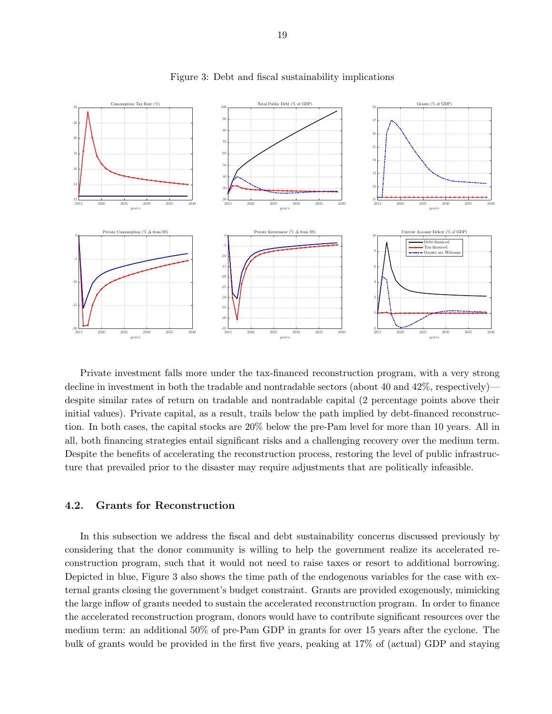

#### Figure 3: Debt and fiscal sustainability implications

Private investment falls more under the tax-financed reconstruction program, with a very strong decline in investment in both the tradable and nontradable sectors (about 40 and 42%, respectively) despite similar rates of return on tradable and nontradable capital (2 percentage points above their initial values). Private capital, as a result, trails below the path implied by debt-financed reconstruction. In both cases, the capital stocks are 20% below the pre-Pam level for more than 10 years. All in all, both financing strategies entail significant risks and a challenging recovery over the medium term. Despite the benefits of accelerating the reconstruction process, restoring the level of public infrastructure that prevailed prior to the disaster may require adjustments that are politically infeasible.

#### 4.2. Grants for Reconstruction

In this subsection we address the fiscal and debt sustainability concerns discussed previously by considering that the donor community is willing to help the government realize its accelerated reconstruction program, such that it would not need to raise taxes or resort to additional borrowing. Depicted in blue, Figure 3 also shows the time path of the endogenous variables for the case with external grants closing the government's budget constraint. Grants are provided exogenously, mimicking the large inflow of grants needed to sustain the accelerated reconstruction program. In order to finance the accelerated reconstruction program, donors would have to contribute significant resources over the medium term: an additional 50% of pre-Pam GDP in grants for over 15 years after the cyclone. The bulk of grants would be provided in the first five years, peaking at 17% of (actual) GDP and staying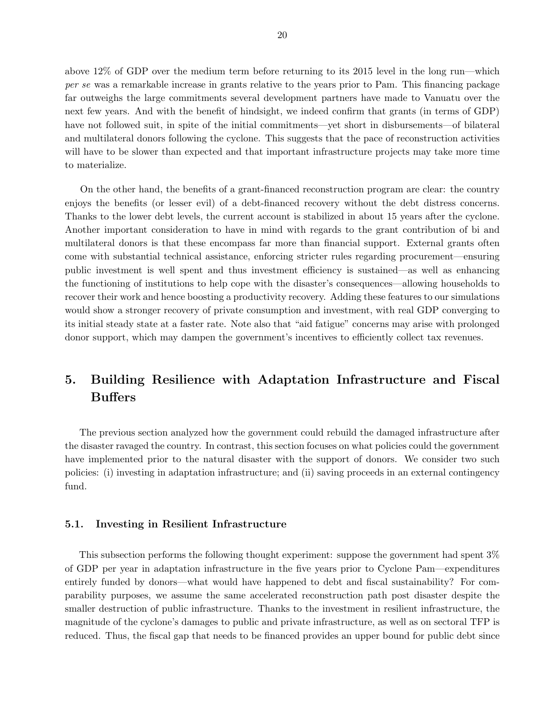above 12% of GDP over the medium term before returning to its 2015 level in the long run—which per se was a remarkable increase in grants relative to the years prior to Pam. This financing package far outweighs the large commitments several development partners have made to Vanuatu over the next few years. And with the benefit of hindsight, we indeed confirm that grants (in terms of GDP) have not followed suit, in spite of the initial commitments—yet short in disbursements—of bilateral and multilateral donors following the cyclone. This suggests that the pace of reconstruction activities will have to be slower than expected and that important infrastructure projects may take more time to materialize.

On the other hand, the benefits of a grant-financed reconstruction program are clear: the country enjoys the benefits (or lesser evil) of a debt-financed recovery without the debt distress concerns. Thanks to the lower debt levels, the current account is stabilized in about 15 years after the cyclone. Another important consideration to have in mind with regards to the grant contribution of bi and multilateral donors is that these encompass far more than financial support. External grants often come with substantial technical assistance, enforcing stricter rules regarding procurement—ensuring public investment is well spent and thus investment efficiency is sustained—as well as enhancing the functioning of institutions to help cope with the disaster's consequences—allowing households to recover their work and hence boosting a productivity recovery. Adding these features to our simulations would show a stronger recovery of private consumption and investment, with real GDP converging to its initial steady state at a faster rate. Note also that "aid fatigue" concerns may arise with prolonged donor support, which may dampen the government's incentives to efficiently collect tax revenues.

# 5. Building Resilience with Adaptation Infrastructure and Fiscal **Buffers**

The previous section analyzed how the government could rebuild the damaged infrastructure after the disaster ravaged the country. In contrast, this section focuses on what policies could the government have implemented prior to the natural disaster with the support of donors. We consider two such policies: (i) investing in adaptation infrastructure; and (ii) saving proceeds in an external contingency fund.

#### 5.1. Investing in Resilient Infrastructure

This subsection performs the following thought experiment: suppose the government had spent 3% of GDP per year in adaptation infrastructure in the five years prior to Cyclone Pam—expenditures entirely funded by donors—what would have happened to debt and fiscal sustainability? For comparability purposes, we assume the same accelerated reconstruction path post disaster despite the smaller destruction of public infrastructure. Thanks to the investment in resilient infrastructure, the magnitude of the cyclone's damages to public and private infrastructure, as well as on sectoral TFP is reduced. Thus, the fiscal gap that needs to be financed provides an upper bound for public debt since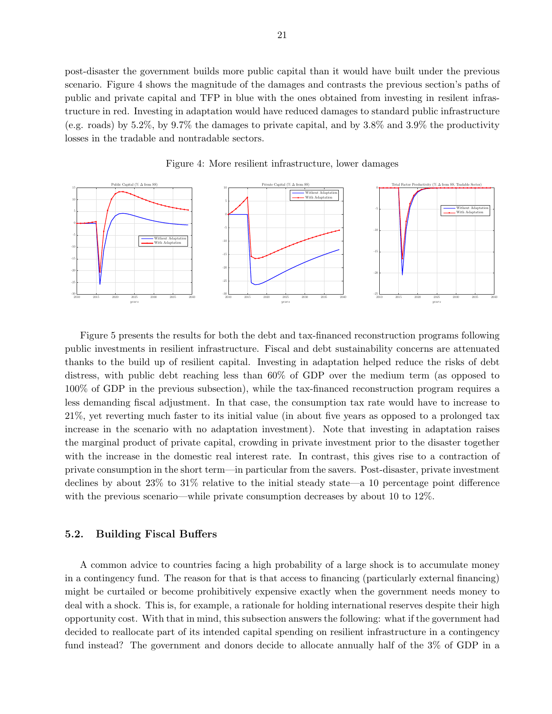post-disaster the government builds more public capital than it would have built under the previous scenario. Figure 4 shows the magnitude of the damages and contrasts the previous section's paths of public and private capital and TFP in blue with the ones obtained from investing in resilent infrastructure in red. Investing in adaptation would have reduced damages to standard public infrastructure (e.g. roads) by 5.2%, by 9.7% the damages to private capital, and by 3.8% and 3.9% the productivity losses in the tradable and nontradable sectors.



Figure 4: More resilient infrastructure, lower damages

Figure 5 presents the results for both the debt and tax-financed reconstruction programs following public investments in resilient infrastructure. Fiscal and debt sustainability concerns are attenuated thanks to the build up of resilient capital. Investing in adaptation helped reduce the risks of debt distress, with public debt reaching less than 60% of GDP over the medium term (as opposed to 100% of GDP in the previous subsection), while the tax-financed reconstruction program requires a less demanding fiscal adjustment. In that case, the consumption tax rate would have to increase to 21%, yet reverting much faster to its initial value (in about five years as opposed to a prolonged tax increase in the scenario with no adaptation investment). Note that investing in adaptation raises the marginal product of private capital, crowding in private investment prior to the disaster together with the increase in the domestic real interest rate. In contrast, this gives rise to a contraction of private consumption in the short term—in particular from the savers. Post-disaster, private investment declines by about 23% to 31% relative to the initial steady state—a 10 percentage point difference with the previous scenario—while private consumption decreases by about 10 to 12%.

#### 5.2. Building Fiscal Buffers

A common advice to countries facing a high probability of a large shock is to accumulate money in a contingency fund. The reason for that is that access to financing (particularly external financing) might be curtailed or become prohibitively expensive exactly when the government needs money to deal with a shock. This is, for example, a rationale for holding international reserves despite their high opportunity cost. With that in mind, this subsection answers the following: what if the government had decided to reallocate part of its intended capital spending on resilient infrastructure in a contingency fund instead? The government and donors decide to allocate annually half of the 3% of GDP in a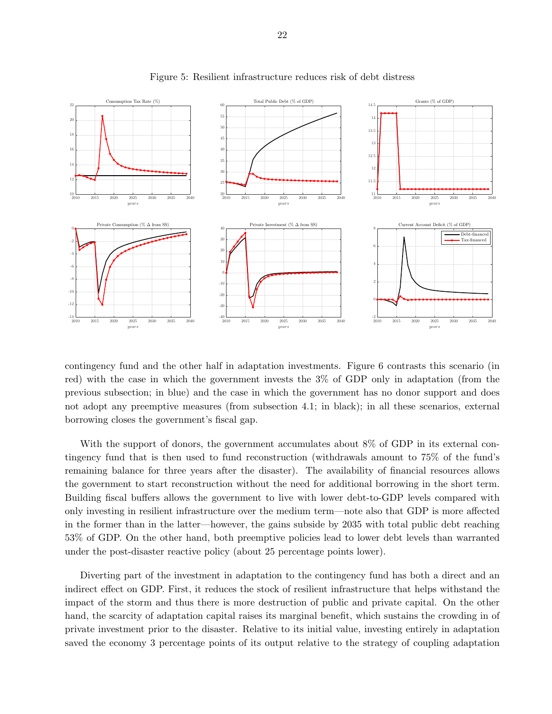

Figure 5: Resilient infrastructure reduces risk of debt distress

contingency fund and the other half in adaptation investments. Figure 6 contrasts this scenario (in red) with the case in which the government invests the 3% of GDP only in adaptation (from the previous subsection; in blue) and the case in which the government has no donor support and does not adopt any preemptive measures (from subsection 4.1; in black); in all these scenarios, external borrowing closes the government's fiscal gap.

With the support of donors, the government accumulates about  $8\%$  of GDP in its external contingency fund that is then used to fund reconstruction (withdrawals amount to 75% of the fund's remaining balance for three years after the disaster). The availability of financial resources allows the government to start reconstruction without the need for additional borrowing in the short term. Building fiscal buffers allows the government to live with lower debt-to-GDP levels compared with only investing in resilient infrastructure over the medium term—note also that GDP is more affected in the former than in the latter—however, the gains subside by 2035 with total public debt reaching 53% of GDP. On the other hand, both preemptive policies lead to lower debt levels than warranted under the post-disaster reactive policy (about 25 percentage points lower).

Diverting part of the investment in adaptation to the contingency fund has both a direct and an indirect effect on GDP. First, it reduces the stock of resilient infrastructure that helps withstand the impact of the storm and thus there is more destruction of public and private capital. On the other hand, the scarcity of adaptation capital raises its marginal benefit, which sustains the crowding in of private investment prior to the disaster. Relative to its initial value, investing entirely in adaptation saved the economy 3 percentage points of its output relative to the strategy of coupling adaptation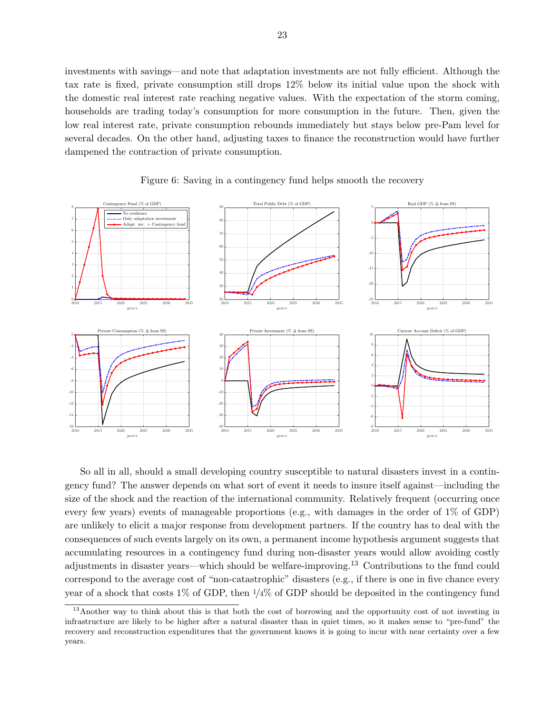investments with savings—and note that adaptation investments are not fully efficient. Although the tax rate is fixed, private consumption still drops 12% below its initial value upon the shock with the domestic real interest rate reaching negative values. With the expectation of the storm coming, households are trading today's consumption for more consumption in the future. Then, given the low real interest rate, private consumption rebounds immediately but stays below pre-Pam level for several decades. On the other hand, adjusting taxes to finance the reconstruction would have further dampened the contraction of private consumption.



#### Figure 6: Saving in a contingency fund helps smooth the recovery

So all in all, should a small developing country susceptible to natural disasters invest in a contingency fund? The answer depends on what sort of event it needs to insure itself against—including the size of the shock and the reaction of the international community. Relatively frequent (occurring once every few years) events of manageable proportions (e.g., with damages in the order of 1% of GDP) are unlikely to elicit a major response from development partners. If the country has to deal with the consequences of such events largely on its own, a permanent income hypothesis argument suggests that accumulating resources in a contingency fund during non-disaster years would allow avoiding costly adjustments in disaster years—which should be welfare-improving.<sup>13</sup> Contributions to the fund could correspond to the average cost of "non-catastrophic" disasters (e.g., if there is one in five chance every year of a shock that costs 1% of GDP, then 1/4% of GDP should be deposited in the contingency fund

<sup>&</sup>lt;sup>13</sup>Another way to think about this is that both the cost of borrowing and the opportunity cost of not investing in infrastructure are likely to be higher after a natural disaster than in quiet times, so it makes sense to "pre-fund" the recovery and reconstruction expenditures that the government knows it is going to incur with near certainty over a few years.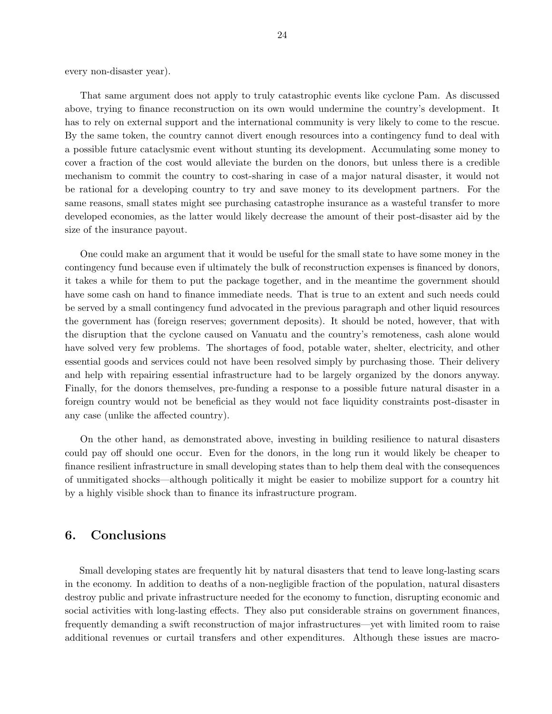That same argument does not apply to truly catastrophic events like cyclone Pam. As discussed above, trying to finance reconstruction on its own would undermine the country's development. It has to rely on external support and the international community is very likely to come to the rescue. By the same token, the country cannot divert enough resources into a contingency fund to deal with a possible future cataclysmic event without stunting its development. Accumulating some money to cover a fraction of the cost would alleviate the burden on the donors, but unless there is a credible mechanism to commit the country to cost-sharing in case of a major natural disaster, it would not be rational for a developing country to try and save money to its development partners. For the same reasons, small states might see purchasing catastrophe insurance as a wasteful transfer to more developed economies, as the latter would likely decrease the amount of their post-disaster aid by the size of the insurance payout.

One could make an argument that it would be useful for the small state to have some money in the contingency fund because even if ultimately the bulk of reconstruction expenses is financed by donors, it takes a while for them to put the package together, and in the meantime the government should have some cash on hand to finance immediate needs. That is true to an extent and such needs could be served by a small contingency fund advocated in the previous paragraph and other liquid resources the government has (foreign reserves; government deposits). It should be noted, however, that with the disruption that the cyclone caused on Vanuatu and the country's remoteness, cash alone would have solved very few problems. The shortages of food, potable water, shelter, electricity, and other essential goods and services could not have been resolved simply by purchasing those. Their delivery and help with repairing essential infrastructure had to be largely organized by the donors anyway. Finally, for the donors themselves, pre-funding a response to a possible future natural disaster in a foreign country would not be beneficial as they would not face liquidity constraints post-disaster in any case (unlike the affected country).

On the other hand, as demonstrated above, investing in building resilience to natural disasters could pay off should one occur. Even for the donors, in the long run it would likely be cheaper to finance resilient infrastructure in small developing states than to help them deal with the consequences of unmitigated shocks—although politically it might be easier to mobilize support for a country hit by a highly visible shock than to finance its infrastructure program.

# 6. Conclusions

Small developing states are frequently hit by natural disasters that tend to leave long-lasting scars in the economy. In addition to deaths of a non-negligible fraction of the population, natural disasters destroy public and private infrastructure needed for the economy to function, disrupting economic and social activities with long-lasting effects. They also put considerable strains on government finances, frequently demanding a swift reconstruction of major infrastructures—yet with limited room to raise additional revenues or curtail transfers and other expenditures. Although these issues are macro-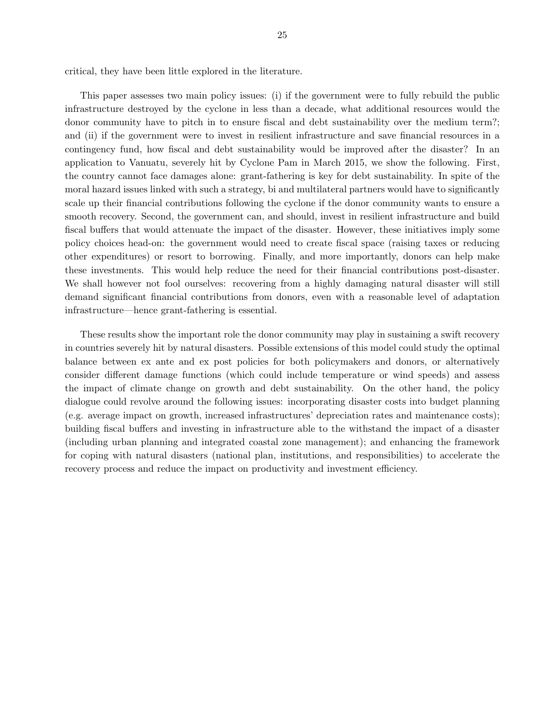This paper assesses two main policy issues: (i) if the government were to fully rebuild the public infrastructure destroyed by the cyclone in less than a decade, what additional resources would the donor community have to pitch in to ensure fiscal and debt sustainability over the medium term?; and (ii) if the government were to invest in resilient infrastructure and save financial resources in a contingency fund, how fiscal and debt sustainability would be improved after the disaster? In an application to Vanuatu, severely hit by Cyclone Pam in March 2015, we show the following. First, the country cannot face damages alone: grant-fathering is key for debt sustainability. In spite of the moral hazard issues linked with such a strategy, bi and multilateral partners would have to significantly scale up their financial contributions following the cyclone if the donor community wants to ensure a smooth recovery. Second, the government can, and should, invest in resilient infrastructure and build fiscal buffers that would attenuate the impact of the disaster. However, these initiatives imply some policy choices head-on: the government would need to create fiscal space (raising taxes or reducing other expenditures) or resort to borrowing. Finally, and more importantly, donors can help make these investments. This would help reduce the need for their financial contributions post-disaster. We shall however not fool ourselves: recovering from a highly damaging natural disaster will still demand significant financial contributions from donors, even with a reasonable level of adaptation infrastructure—hence grant-fathering is essential.

These results show the important role the donor community may play in sustaining a swift recovery in countries severely hit by natural disasters. Possible extensions of this model could study the optimal balance between ex ante and ex post policies for both policymakers and donors, or alternatively consider different damage functions (which could include temperature or wind speeds) and assess the impact of climate change on growth and debt sustainability. On the other hand, the policy dialogue could revolve around the following issues: incorporating disaster costs into budget planning (e.g. average impact on growth, increased infrastructures' depreciation rates and maintenance costs); building fiscal buffers and investing in infrastructure able to the withstand the impact of a disaster (including urban planning and integrated coastal zone management); and enhancing the framework for coping with natural disasters (national plan, institutions, and responsibilities) to accelerate the recovery process and reduce the impact on productivity and investment efficiency.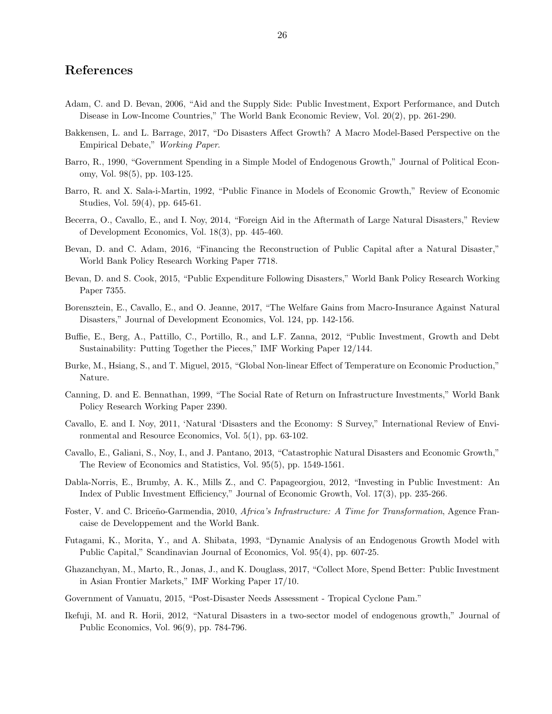# References

- Adam, C. and D. Bevan, 2006, "Aid and the Supply Side: Public Investment, Export Performance, and Dutch Disease in Low-Income Countries," The World Bank Economic Review, Vol. 20(2), pp. 261-290.
- Bakkensen, L. and L. Barrage, 2017, "Do Disasters Affect Growth? A Macro Model-Based Perspective on the Empirical Debate," Working Paper.
- Barro, R., 1990, "Government Spending in a Simple Model of Endogenous Growth," Journal of Political Economy, Vol. 98(5), pp. 103-125.
- Barro, R. and X. Sala-i-Martin, 1992, "Public Finance in Models of Economic Growth," Review of Economic Studies, Vol. 59(4), pp. 645-61.
- Becerra, O., Cavallo, E., and I. Noy, 2014, "Foreign Aid in the Aftermath of Large Natural Disasters," Review of Development Economics, Vol. 18(3), pp. 445-460.
- Bevan, D. and C. Adam, 2016, "Financing the Reconstruction of Public Capital after a Natural Disaster," World Bank Policy Research Working Paper 7718.
- Bevan, D. and S. Cook, 2015, "Public Expenditure Following Disasters," World Bank Policy Research Working Paper 7355.
- Borensztein, E., Cavallo, E., and O. Jeanne, 2017, "The Welfare Gains from Macro-Insurance Against Natural Disasters," Journal of Development Economics, Vol. 124, pp. 142-156.
- Buffie, E., Berg, A., Pattillo, C., Portillo, R., and L.F. Zanna, 2012, "Public Investment, Growth and Debt Sustainability: Putting Together the Pieces," IMF Working Paper 12/144.
- Burke, M., Hsiang, S., and T. Miguel, 2015, "Global Non-linear Effect of Temperature on Economic Production," Nature.
- Canning, D. and E. Bennathan, 1999, "The Social Rate of Return on Infrastructure Investments," World Bank Policy Research Working Paper 2390.
- Cavallo, E. and I. Noy, 2011, 'Natural 'Disasters and the Economy: S Survey," International Review of Environmental and Resource Economics, Vol. 5(1), pp. 63-102.
- Cavallo, E., Galiani, S., Noy, I., and J. Pantano, 2013, "Catastrophic Natural Disasters and Economic Growth," The Review of Economics and Statistics, Vol. 95(5), pp. 1549-1561.
- Dabla-Norris, E., Brumby, A. K., Mills Z., and C. Papageorgiou, 2012, "Investing in Public Investment: An Index of Public Investment Efficiency," Journal of Economic Growth, Vol. 17(3), pp. 235-266.
- Foster, V. and C. Briceño-Garmendia, 2010, Africa's Infrastructure: A Time for Transformation, Agence Francaise de Developpement and the World Bank.
- Futagami, K., Morita, Y., and A. Shibata, 1993, "Dynamic Analysis of an Endogenous Growth Model with Public Capital," Scandinavian Journal of Economics, Vol. 95(4), pp. 607-25.
- Ghazanchyan, M., Marto, R., Jonas, J., and K. Douglass, 2017, "Collect More, Spend Better: Public Investment in Asian Frontier Markets," IMF Working Paper 17/10.
- Government of Vanuatu, 2015, "Post-Disaster Needs Assessment Tropical Cyclone Pam."
- Ikefuji, M. and R. Horii, 2012, "Natural Disasters in a two-sector model of endogenous growth," Journal of Public Economics, Vol. 96(9), pp. 784-796.